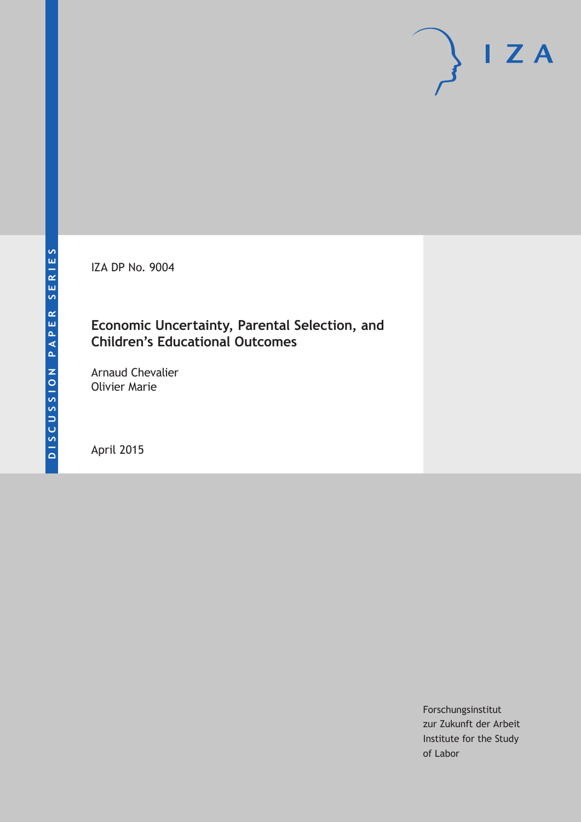IZA DP No. 9004

## **Economic Uncertainty, Parental Selection, and Children's Educational Outcomes**

Arnaud Chevalier Olivier Marie

April 2015

Forschungsinstitut zur Zukunft der Arbeit Institute for the Study of Labor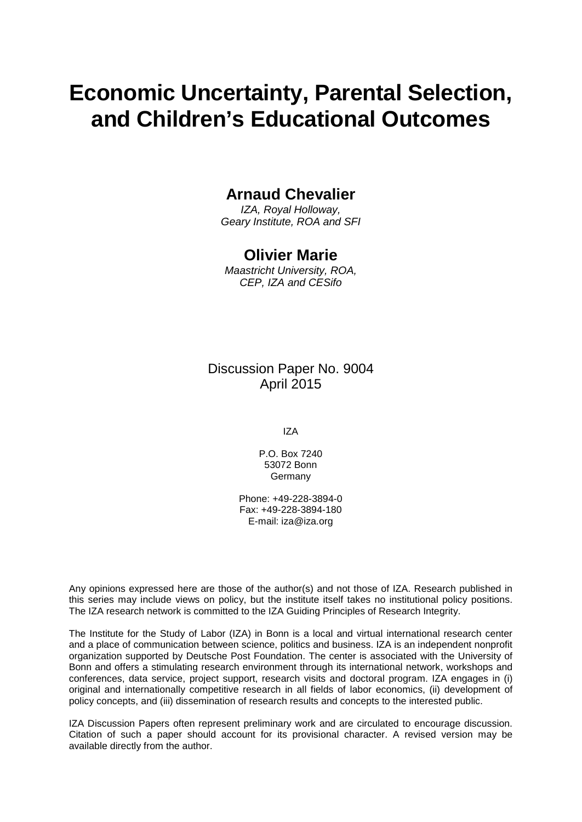# **Economic Uncertainty, Parental Selection, and Children's Educational Outcomes**

## **Arnaud Chevalier**

*IZA, Royal Holloway, Geary Institute, ROA and SFI*

### **Olivier Marie**

*Maastricht University, ROA, CEP, IZA and CESifo*

## Discussion Paper No. 9004 April 2015

IZA

P.O. Box 7240 53072 Bonn Germany

Phone: +49-228-3894-0 Fax: +49-228-3894-180 E-mail: iza@iza.org

Any opinions expressed here are those of the author(s) and not those of IZA. Research published in this series may include views on policy, but the institute itself takes no institutional policy positions. The IZA research network is committed to the IZA Guiding Principles of Research Integrity.

<span id="page-1-0"></span>The Institute for the Study of Labor (IZA) in Bonn is a local and virtual international research center and a place of communication between science, politics and business. IZA is an independent nonprofit organization supported by Deutsche Post Foundation. The center is associated with the University of Bonn and offers a stimulating research environment through its international network, workshops and conferences, data service, project support, research visits and doctoral program. IZA engages in (i) original and internationally competitive research in all fields of labor economics, (ii) development of policy concepts, and (iii) dissemination of research results and concepts to the interested public.

IZA Discussion Papers often represent preliminary work and are circulated to encourage discussion. Citation of such a paper should account for its provisional character. A revised version may be available directly from the author.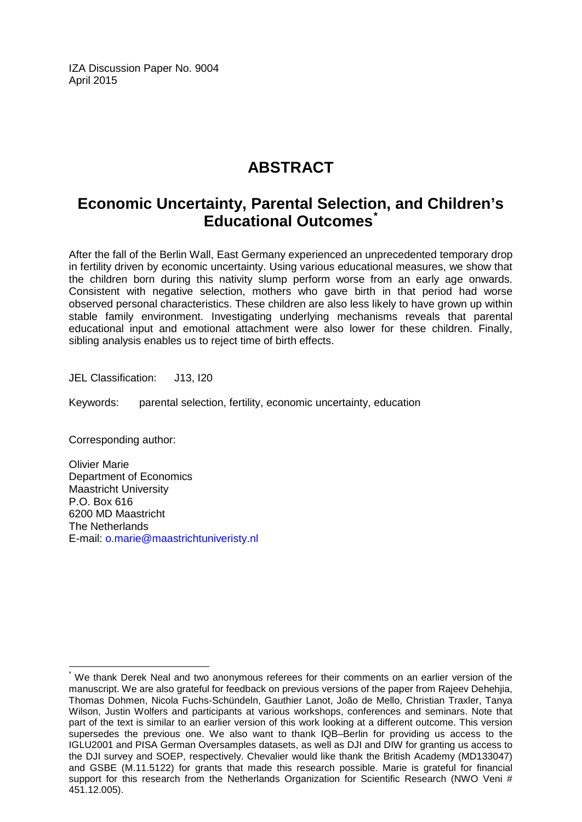IZA Discussion Paper No. 9004 April 2015

## **ABSTRACT**

## **Economic Uncertainty, Parental Selection, and Children's Educational Outcomes[\\*](#page-1-0)**

After the fall of the Berlin Wall, East Germany experienced an unprecedented temporary drop in fertility driven by economic uncertainty. Using various educational measures, we show that the children born during this nativity slump perform worse from an early age onwards. Consistent with negative selection, mothers who gave birth in that period had worse observed personal characteristics. These children are also less likely to have grown up within stable family environment. Investigating underlying mechanisms reveals that parental educational input and emotional attachment were also lower for these children. Finally, sibling analysis enables us to reject time of birth effects.

JEL Classification: J13, I20

Keywords: parental selection, fertility, economic uncertainty, education

Corresponding author:

Olivier Marie Department of Economics Maastricht University P.O. Box 616 6200 MD Maastricht The Netherlands E-mail: [o.marie@maastrichtuniveristy.nl](mailto:o.marie@maastrichtuniveristy.nl)

We thank Derek Neal and two anonymous referees for their comments on an earlier version of the manuscript. We are also grateful for feedback on previous versions of the paper from Rajeev Dehehjia, Thomas Dohmen, Nicola Fuchs-Schündeln, Gauthier Lanot, João de Mello, Christian Traxler, Tanya Wilson, Justin Wolfers and participants at various workshops, conferences and seminars. Note that part of the text is similar to an earlier version of this work looking at a different outcome. This version supersedes the previous one. We also want to thank IQB–Berlin for providing us access to the IGLU2001 and PISA German Oversamples datasets, as well as DJI and DIW for granting us access to the DJI survey and SOEP, respectively. Chevalier would like thank the British Academy (MD133047) and GSBE (M.11.5122) for grants that made this research possible. Marie is grateful for financial support for this research from the Netherlands Organization for Scientific Research (NWO Veni # 451.12.005).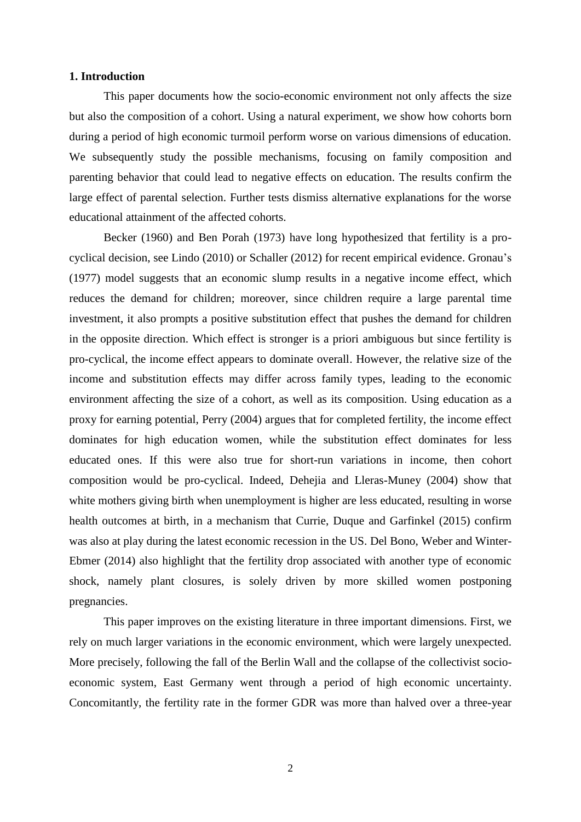#### **1. Introduction**

This paper documents how the socio-economic environment not only affects the size but also the composition of a cohort. Using a natural experiment, we show how cohorts born during a period of high economic turmoil perform worse on various dimensions of education. We subsequently study the possible mechanisms, focusing on family composition and parenting behavior that could lead to negative effects on education. The results confirm the large effect of parental selection. Further tests dismiss alternative explanations for the worse educational attainment of the affected cohorts.

Becker (1960) and Ben Porah (1973) have long hypothesized that fertility is a procyclical decision, see Lindo (2010) or Schaller (2012) for recent empirical evidence. Gronau's (1977) model suggests that an economic slump results in a negative income effect, which reduces the demand for children; moreover, since children require a large parental time investment, it also prompts a positive substitution effect that pushes the demand for children in the opposite direction. Which effect is stronger is a priori ambiguous but since fertility is pro-cyclical, the income effect appears to dominate overall. However, the relative size of the income and substitution effects may differ across family types, leading to the economic environment affecting the size of a cohort, as well as its composition. Using education as a proxy for earning potential, Perry (2004) argues that for completed fertility, the income effect dominates for high education women, while the substitution effect dominates for less educated ones. If this were also true for short-run variations in income, then cohort composition would be pro-cyclical. Indeed, Dehejia and Lleras-Muney (2004) show that white mothers giving birth when unemployment is higher are less educated, resulting in worse health outcomes at birth, in a mechanism that Currie, Duque and Garfinkel (2015) confirm was also at play during the latest economic recession in the US. Del Bono, Weber and Winter-Ebmer (2014) also highlight that the fertility drop associated with another type of economic shock, namely plant closures, is solely driven by more skilled women postponing pregnancies.

This paper improves on the existing literature in three important dimensions. First, we rely on much larger variations in the economic environment, which were largely unexpected. More precisely, following the fall of the Berlin Wall and the collapse of the collectivist socioeconomic system, East Germany went through a period of high economic uncertainty. Concomitantly, the fertility rate in the former GDR was more than halved over a three-year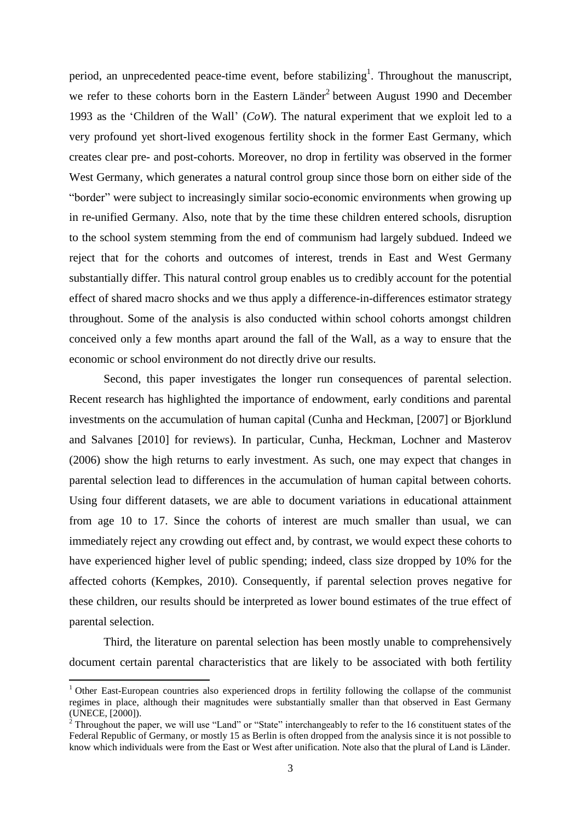period, an unprecedented peace-time event, before stabilizing<sup>1</sup>. Throughout the manuscript, we refer to these cohorts born in the Eastern Länder<sup>2</sup> between August 1990 and December 1993 as the 'Children of the Wall' (*CoW*). The natural experiment that we exploit led to a very profound yet short-lived exogenous fertility shock in the former East Germany, which creates clear pre- and post-cohorts. Moreover, no drop in fertility was observed in the former West Germany, which generates a natural control group since those born on either side of the "border" were subject to increasingly similar socio-economic environments when growing up in re-unified Germany. Also, note that by the time these children entered schools, disruption to the school system stemming from the end of communism had largely subdued. Indeed we reject that for the cohorts and outcomes of interest, trends in East and West Germany substantially differ. This natural control group enables us to credibly account for the potential effect of shared macro shocks and we thus apply a difference-in-differences estimator strategy throughout. Some of the analysis is also conducted within school cohorts amongst children conceived only a few months apart around the fall of the Wall, as a way to ensure that the economic or school environment do not directly drive our results.

Second, this paper investigates the longer run consequences of parental selection. Recent research has highlighted the importance of endowment, early conditions and parental investments on the accumulation of human capital (Cunha and Heckman, [2007] or Bjorklund and Salvanes [2010] for reviews). In particular, Cunha, Heckman, Lochner and Masterov (2006) show the high returns to early investment. As such, one may expect that changes in parental selection lead to differences in the accumulation of human capital between cohorts. Using four different datasets, we are able to document variations in educational attainment from age 10 to 17. Since the cohorts of interest are much smaller than usual, we can immediately reject any crowding out effect and, by contrast, we would expect these cohorts to have experienced higher level of public spending; indeed, class size dropped by 10% for the affected cohorts (Kempkes, 2010). Consequently, if parental selection proves negative for these children, our results should be interpreted as lower bound estimates of the true effect of parental selection.

Third, the literature on parental selection has been mostly unable to comprehensively document certain parental characteristics that are likely to be associated with both fertility

 $\overline{a}$ 

<sup>&</sup>lt;sup>1</sup> Other East-European countries also experienced drops in fertility following the collapse of the communist regimes in place, although their magnitudes were substantially smaller than that observed in East Germany (UNECE, [2000]).

 $2^{2}$  Throughout the paper, we will use "Land" or "State" interchangeably to refer to the 16 constituent states of the Federal Republic of Germany, or mostly 15 as Berlin is often dropped from the analysis since it is not possible to know which individuals were from the East or West after unification. Note also that the plural of Land is Länder.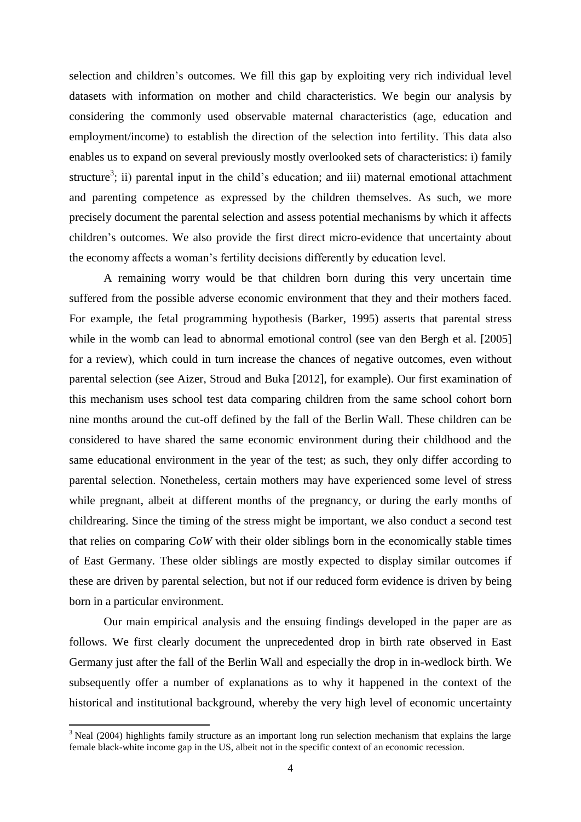selection and children's outcomes. We fill this gap by exploiting very rich individual level datasets with information on mother and child characteristics. We begin our analysis by considering the commonly used observable maternal characteristics (age, education and employment/income) to establish the direction of the selection into fertility. This data also enables us to expand on several previously mostly overlooked sets of characteristics: i) family structure<sup>3</sup>; ii) parental input in the child's education; and iii) maternal emotional attachment and parenting competence as expressed by the children themselves. As such, we more precisely document the parental selection and assess potential mechanisms by which it affects children's outcomes. We also provide the first direct micro-evidence that uncertainty about the economy affects a woman's fertility decisions differently by education level.

A remaining worry would be that children born during this very uncertain time suffered from the possible adverse economic environment that they and their mothers faced. For example, the fetal programming hypothesis (Barker, 1995) asserts that parental stress while in the womb can lead to abnormal emotional control (see van den Bergh et al. [2005] for a review), which could in turn increase the chances of negative outcomes, even without parental selection (see Aizer, Stroud and Buka [2012], for example). Our first examination of this mechanism uses school test data comparing children from the same school cohort born nine months around the cut-off defined by the fall of the Berlin Wall. These children can be considered to have shared the same economic environment during their childhood and the same educational environment in the year of the test; as such, they only differ according to parental selection. Nonetheless, certain mothers may have experienced some level of stress while pregnant, albeit at different months of the pregnancy, or during the early months of childrearing. Since the timing of the stress might be important, we also conduct a second test that relies on comparing *CoW* with their older siblings born in the economically stable times of East Germany. These older siblings are mostly expected to display similar outcomes if these are driven by parental selection, but not if our reduced form evidence is driven by being born in a particular environment.

Our main empirical analysis and the ensuing findings developed in the paper are as follows. We first clearly document the unprecedented drop in birth rate observed in East Germany just after the fall of the Berlin Wall and especially the drop in in-wedlock birth. We subsequently offer a number of explanations as to why it happened in the context of the historical and institutional background, whereby the very high level of economic uncertainty

 $\overline{\phantom{a}}$ 

<sup>&</sup>lt;sup>3</sup> Neal (2004) highlights family structure as an important long run selection mechanism that explains the large female black-white income gap in the US, albeit not in the specific context of an economic recession.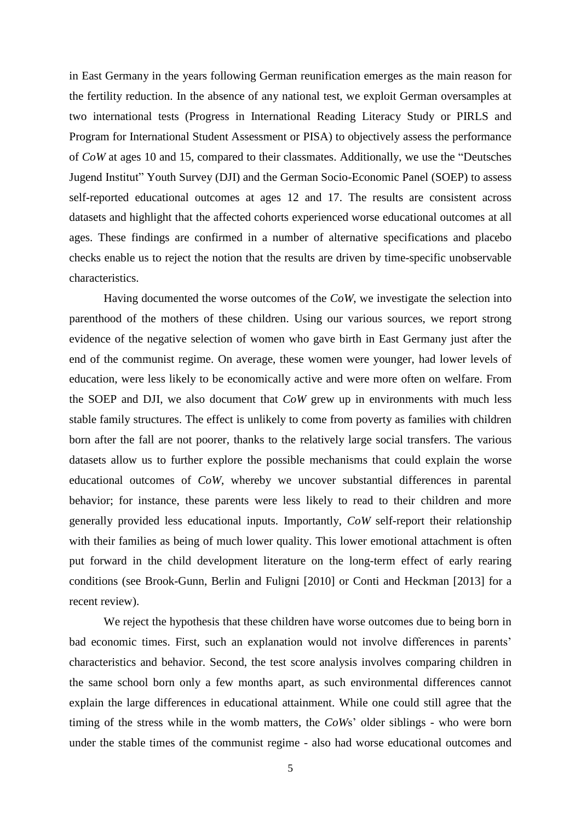in East Germany in the years following German reunification emerges as the main reason for the fertility reduction. In the absence of any national test, we exploit German oversamples at two international tests (Progress in International Reading Literacy Study or PIRLS and Program for International Student Assessment or PISA) to objectively assess the performance of *CoW* at ages 10 and 15, compared to their classmates. Additionally, we use the "Deutsches Jugend Institut" Youth Survey (DJI) and the German Socio-Economic Panel (SOEP) to assess self-reported educational outcomes at ages 12 and 17. The results are consistent across datasets and highlight that the affected cohorts experienced worse educational outcomes at all ages. These findings are confirmed in a number of alternative specifications and placebo checks enable us to reject the notion that the results are driven by time-specific unobservable characteristics.

Having documented the worse outcomes of the *CoW*, we investigate the selection into parenthood of the mothers of these children. Using our various sources, we report strong evidence of the negative selection of women who gave birth in East Germany just after the end of the communist regime. On average, these women were younger, had lower levels of education, were less likely to be economically active and were more often on welfare. From the SOEP and DJI, we also document that *CoW* grew up in environments with much less stable family structures. The effect is unlikely to come from poverty as families with children born after the fall are not poorer, thanks to the relatively large social transfers. The various datasets allow us to further explore the possible mechanisms that could explain the worse educational outcomes of *CoW*, whereby we uncover substantial differences in parental behavior; for instance, these parents were less likely to read to their children and more generally provided less educational inputs. Importantly, *CoW* self-report their relationship with their families as being of much lower quality. This lower emotional attachment is often put forward in the child development literature on the long-term effect of early rearing conditions (see Brook-Gunn, Berlin and Fuligni [2010] or Conti and Heckman [2013] for a recent review).

We reject the hypothesis that these children have worse outcomes due to being born in bad economic times. First, such an explanation would not involve differences in parents' characteristics and behavior. Second, the test score analysis involves comparing children in the same school born only a few months apart, as such environmental differences cannot explain the large differences in educational attainment. While one could still agree that the timing of the stress while in the womb matters, the *CoW*s' older siblings - who were born under the stable times of the communist regime - also had worse educational outcomes and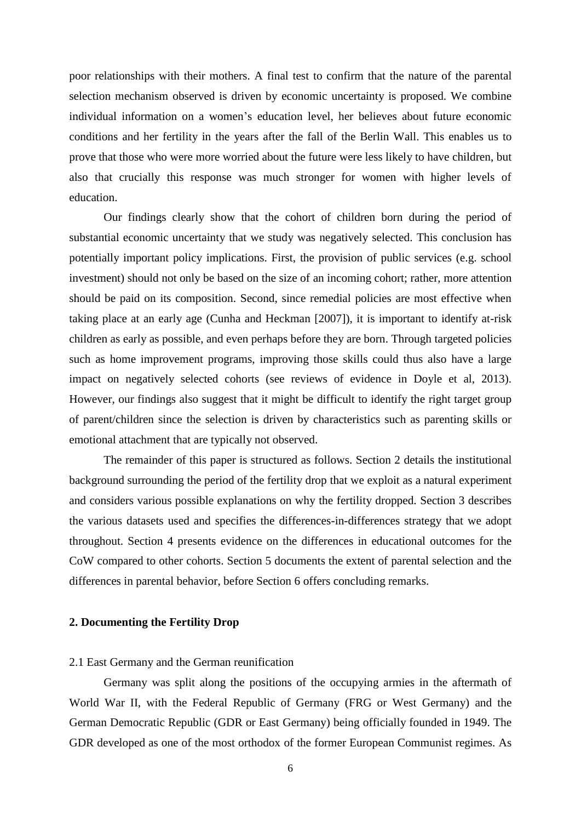poor relationships with their mothers. A final test to confirm that the nature of the parental selection mechanism observed is driven by economic uncertainty is proposed. We combine individual information on a women's education level, her believes about future economic conditions and her fertility in the years after the fall of the Berlin Wall. This enables us to prove that those who were more worried about the future were less likely to have children, but also that crucially this response was much stronger for women with higher levels of education.

Our findings clearly show that the cohort of children born during the period of substantial economic uncertainty that we study was negatively selected. This conclusion has potentially important policy implications. First, the provision of public services (e.g. school investment) should not only be based on the size of an incoming cohort; rather, more attention should be paid on its composition. Second, since remedial policies are most effective when taking place at an early age (Cunha and Heckman [2007]), it is important to identify at-risk children as early as possible, and even perhaps before they are born. Through targeted policies such as home improvement programs, improving those skills could thus also have a large impact on negatively selected cohorts (see reviews of evidence in Doyle et al, 2013). However, our findings also suggest that it might be difficult to identify the right target group of parent/children since the selection is driven by characteristics such as parenting skills or emotional attachment that are typically not observed.

The remainder of this paper is structured as follows. Section 2 details the institutional background surrounding the period of the fertility drop that we exploit as a natural experiment and considers various possible explanations on why the fertility dropped. Section 3 describes the various datasets used and specifies the differences-in-differences strategy that we adopt throughout. Section 4 presents evidence on the differences in educational outcomes for the CoW compared to other cohorts. Section 5 documents the extent of parental selection and the differences in parental behavior, before Section 6 offers concluding remarks.

#### **2. Documenting the Fertility Drop**

#### 2.1 East Germany and the German reunification

Germany was split along the positions of the occupying armies in the aftermath of World War II, with the Federal Republic of Germany (FRG or West Germany) and the German Democratic Republic (GDR or East Germany) being officially founded in 1949. The GDR developed as one of the most orthodox of the former European Communist regimes. As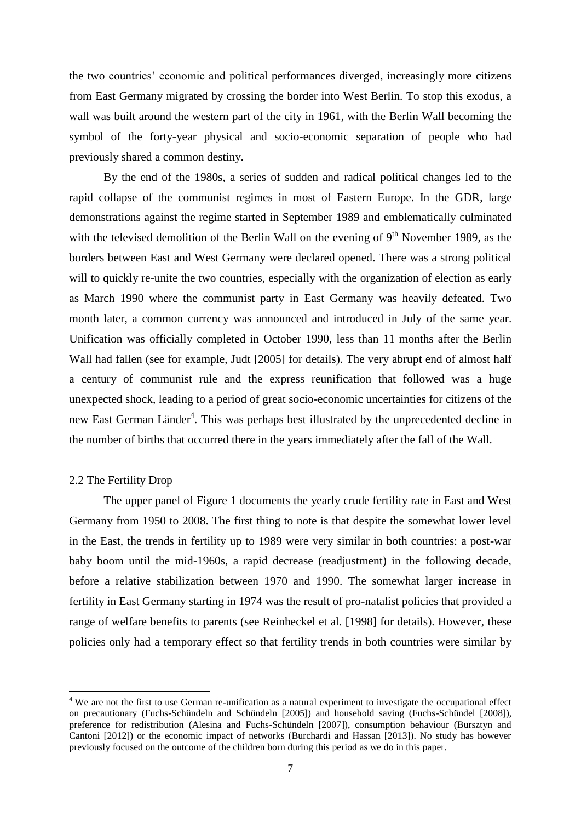the two countries' economic and political performances diverged, increasingly more citizens from East Germany migrated by crossing the border into West Berlin. To stop this exodus, a wall was built around the western part of the city in 1961, with the Berlin Wall becoming the symbol of the forty-year physical and socio-economic separation of people who had previously shared a common destiny.

By the end of the 1980s, a series of sudden and radical political changes led to the rapid collapse of the communist regimes in most of Eastern Europe. In the GDR, large demonstrations against the regime started in September 1989 and emblematically culminated with the televised demolition of the Berlin Wall on the evening of  $9<sup>th</sup>$  November 1989, as the borders between East and West Germany were declared opened. There was a strong political will to quickly re-unite the two countries, especially with the organization of election as early as March 1990 where the communist party in East Germany was heavily defeated. Two month later, a common currency was announced and introduced in July of the same year. Unification was officially completed in October 1990, less than 11 months after the Berlin Wall had fallen (see for example, Judt [2005] for details). The very abrupt end of almost half a century of communist rule and the express reunification that followed was a huge unexpected shock, leading to a period of great socio-economic uncertainties for citizens of the new East German Länder<sup>4</sup>. This was perhaps best illustrated by the unprecedented decline in the number of births that occurred there in the years immediately after the fall of the Wall.

#### 2.2 The Fertility Drop

 $\overline{\phantom{a}}$ 

The upper panel of Figure 1 documents the yearly crude fertility rate in East and West Germany from 1950 to 2008. The first thing to note is that despite the somewhat lower level in the East, the trends in fertility up to 1989 were very similar in both countries: a post-war baby boom until the mid-1960s, a rapid decrease (readjustment) in the following decade, before a relative stabilization between 1970 and 1990. The somewhat larger increase in fertility in East Germany starting in 1974 was the result of pro-natalist policies that provided a range of welfare benefits to parents (see Reinheckel et al. [1998] for details). However, these policies only had a temporary effect so that fertility trends in both countries were similar by

<sup>&</sup>lt;sup>4</sup> We are not the first to use German re-unification as a natural experiment to investigate the occupational effect on precautionary (Fuchs-Schündeln and Schündeln [2005]) and household saving (Fuchs-Schündel [2008]), preference for redistribution (Alesina and Fuchs-Schündeln [2007]), consumption behaviour (Bursztyn and Cantoni [2012]) or the economic impact of networks (Burchardi and Hassan [2013]). No study has however previously focused on the outcome of the children born during this period as we do in this paper.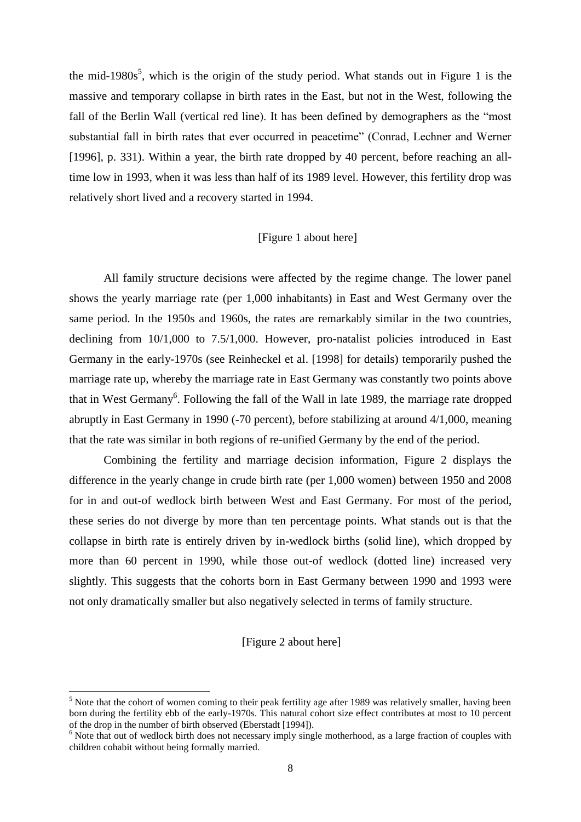the mid-1980s<sup>5</sup>, which is the origin of the study period. What stands out in Figure 1 is the massive and temporary collapse in birth rates in the East, but not in the West, following the fall of the Berlin Wall (vertical red line). It has been defined by demographers as the "most substantial fall in birth rates that ever occurred in peacetime" (Conrad, Lechner and Werner [1996], p. 331). Within a year, the birth rate dropped by 40 percent, before reaching an alltime low in 1993, when it was less than half of its 1989 level. However, this fertility drop was relatively short lived and a recovery started in 1994.

#### [Figure 1 about here]

All family structure decisions were affected by the regime change. The lower panel shows the yearly marriage rate (per 1,000 inhabitants) in East and West Germany over the same period. In the 1950s and 1960s, the rates are remarkably similar in the two countries, declining from 10/1,000 to 7.5/1,000. However, pro-natalist policies introduced in East Germany in the early-1970s (see Reinheckel et al. [1998] for details) temporarily pushed the marriage rate up, whereby the marriage rate in East Germany was constantly two points above that in West Germany<sup>6</sup>. Following the fall of the Wall in late 1989, the marriage rate dropped abruptly in East Germany in 1990 (-70 percent), before stabilizing at around 4/1,000, meaning that the rate was similar in both regions of re-unified Germany by the end of the period.

Combining the fertility and marriage decision information, Figure 2 displays the difference in the yearly change in crude birth rate (per 1,000 women) between 1950 and 2008 for in and out-of wedlock birth between West and East Germany. For most of the period, these series do not diverge by more than ten percentage points. What stands out is that the collapse in birth rate is entirely driven by in-wedlock births (solid line), which dropped by more than 60 percent in 1990, while those out-of wedlock (dotted line) increased very slightly. This suggests that the cohorts born in East Germany between 1990 and 1993 were not only dramatically smaller but also negatively selected in terms of family structure.

#### [Figure 2 about here]

 $\overline{\phantom{a}}$ 

 $<sup>5</sup>$  Note that the cohort of women coming to their peak fertility age after 1989 was relatively smaller, having been</sup> born during the fertility ebb of the early-1970s. This natural cohort size effect contributes at most to 10 percent of the drop in the number of birth observed (Eberstadt [1994]).

<sup>&</sup>lt;sup>6</sup> Note that out of wedlock birth does not necessary imply single motherhood, as a large fraction of couples with children cohabit without being formally married.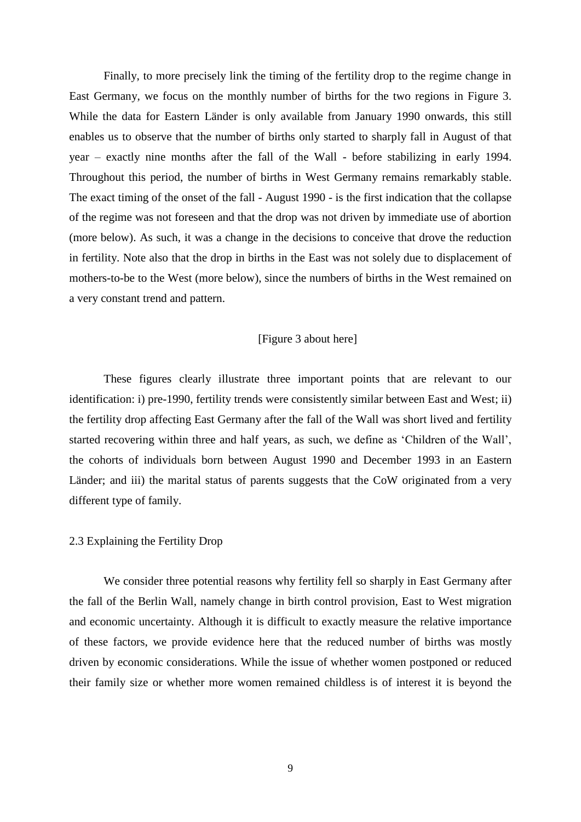Finally, to more precisely link the timing of the fertility drop to the regime change in East Germany, we focus on the monthly number of births for the two regions in Figure 3. While the data for Eastern Länder is only available from January 1990 onwards, this still enables us to observe that the number of births only started to sharply fall in August of that year – exactly nine months after the fall of the Wall - before stabilizing in early 1994. Throughout this period, the number of births in West Germany remains remarkably stable. The exact timing of the onset of the fall - August 1990 - is the first indication that the collapse of the regime was not foreseen and that the drop was not driven by immediate use of abortion (more below). As such, it was a change in the decisions to conceive that drove the reduction in fertility. Note also that the drop in births in the East was not solely due to displacement of mothers-to-be to the West (more below), since the numbers of births in the West remained on a very constant trend and pattern.

#### [Figure 3 about here]

These figures clearly illustrate three important points that are relevant to our identification: i) pre-1990, fertility trends were consistently similar between East and West; ii) the fertility drop affecting East Germany after the fall of the Wall was short lived and fertility started recovering within three and half years, as such, we define as 'Children of the Wall', the cohorts of individuals born between August 1990 and December 1993 in an Eastern Länder; and iii) the marital status of parents suggests that the CoW originated from a very different type of family.

#### 2.3 Explaining the Fertility Drop

We consider three potential reasons why fertility fell so sharply in East Germany after the fall of the Berlin Wall, namely change in birth control provision, East to West migration and economic uncertainty. Although it is difficult to exactly measure the relative importance of these factors, we provide evidence here that the reduced number of births was mostly driven by economic considerations. While the issue of whether women postponed or reduced their family size or whether more women remained childless is of interest it is beyond the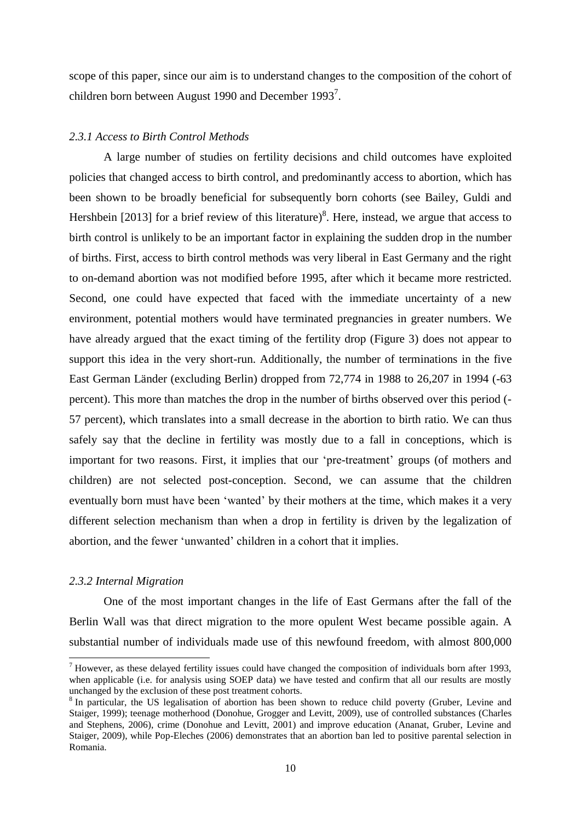scope of this paper, since our aim is to understand changes to the composition of the cohort of children born between August 1990 and December 1993<sup>7</sup>.

#### *2.3.1 Access to Birth Control Methods*

A large number of studies on fertility decisions and child outcomes have exploited policies that changed access to birth control, and predominantly access to abortion, which has been shown to be broadly beneficial for subsequently born cohorts (see Bailey, Guldi and Hershbein [2013] for a brief review of this literature)<sup>8</sup>. Here, instead, we argue that access to birth control is unlikely to be an important factor in explaining the sudden drop in the number of births. First, access to birth control methods was very liberal in East Germany and the right to on-demand abortion was not modified before 1995, after which it became more restricted. Second, one could have expected that faced with the immediate uncertainty of a new environment, potential mothers would have terminated pregnancies in greater numbers. We have already argued that the exact timing of the fertility drop (Figure 3) does not appear to support this idea in the very short-run. Additionally, the number of terminations in the five East German Länder (excluding Berlin) dropped from 72,774 in 1988 to 26,207 in 1994 (-63 percent). This more than matches the drop in the number of births observed over this period (- 57 percent), which translates into a small decrease in the abortion to birth ratio. We can thus safely say that the decline in fertility was mostly due to a fall in conceptions, which is important for two reasons. First, it implies that our 'pre-treatment' groups (of mothers and children) are not selected post-conception. Second, we can assume that the children eventually born must have been 'wanted' by their mothers at the time, which makes it a very different selection mechanism than when a drop in fertility is driven by the legalization of abortion, and the fewer 'unwanted' children in a cohort that it implies.

#### *2.3.2 Internal Migration*

 $\overline{\phantom{a}}$ 

One of the most important changes in the life of East Germans after the fall of the Berlin Wall was that direct migration to the more opulent West became possible again. A substantial number of individuals made use of this newfound freedom, with almost 800,000

 $<sup>7</sup>$  However, as these delayed fertility issues could have changed the composition of individuals born after 1993,</sup> when applicable (i.e. for analysis using SOEP data) we have tested and confirm that all our results are mostly unchanged by the exclusion of these post treatment cohorts.

<sup>&</sup>lt;sup>8</sup> In particular, the US legalisation of abortion has been shown to reduce child poverty (Gruber, Levine and Staiger, 1999); teenage motherhood (Donohue, Grogger and Levitt, 2009), use of controlled substances (Charles and Stephens, 2006), crime (Donohue and Levitt, 2001) and improve education (Ananat, Gruber, Levine and Staiger, 2009), while Pop-Eleches (2006) demonstrates that an abortion ban led to positive parental selection in Romania.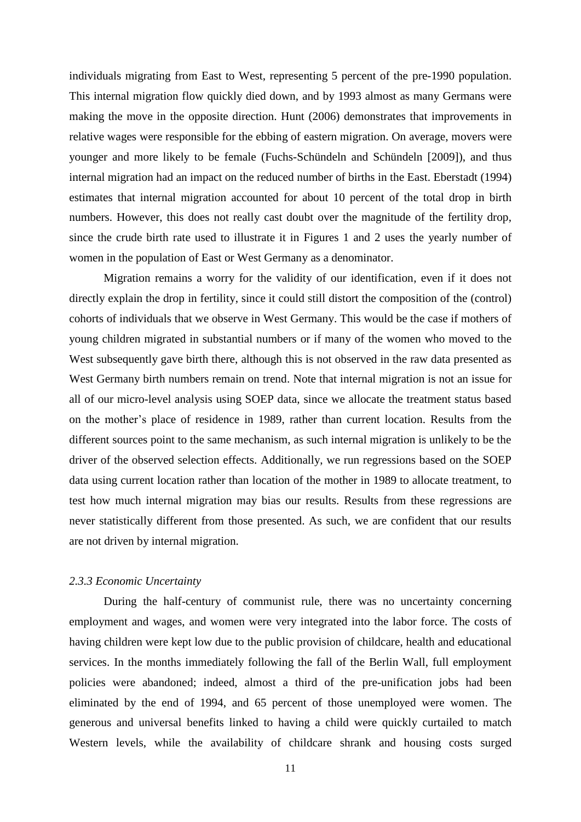individuals migrating from East to West, representing 5 percent of the pre-1990 population. This internal migration flow quickly died down, and by 1993 almost as many Germans were making the move in the opposite direction. Hunt (2006) demonstrates that improvements in relative wages were responsible for the ebbing of eastern migration. On average, movers were younger and more likely to be female (Fuchs-Schündeln and Schündeln [2009]), and thus internal migration had an impact on the reduced number of births in the East. Eberstadt (1994) estimates that internal migration accounted for about 10 percent of the total drop in birth numbers. However, this does not really cast doubt over the magnitude of the fertility drop, since the crude birth rate used to illustrate it in Figures 1 and 2 uses the yearly number of women in the population of East or West Germany as a denominator.

Migration remains a worry for the validity of our identification, even if it does not directly explain the drop in fertility, since it could still distort the composition of the (control) cohorts of individuals that we observe in West Germany. This would be the case if mothers of young children migrated in substantial numbers or if many of the women who moved to the West subsequently gave birth there, although this is not observed in the raw data presented as West Germany birth numbers remain on trend. Note that internal migration is not an issue for all of our micro-level analysis using SOEP data, since we allocate the treatment status based on the mother's place of residence in 1989, rather than current location. Results from the different sources point to the same mechanism, as such internal migration is unlikely to be the driver of the observed selection effects. Additionally, we run regressions based on the SOEP data using current location rather than location of the mother in 1989 to allocate treatment, to test how much internal migration may bias our results. Results from these regressions are never statistically different from those presented. As such, we are confident that our results are not driven by internal migration.

#### *2.3.3 Economic Uncertainty*

During the half-century of communist rule, there was no uncertainty concerning employment and wages, and women were very integrated into the labor force. The costs of having children were kept low due to the public provision of childcare, health and educational services. In the months immediately following the fall of the Berlin Wall, full employment policies were abandoned; indeed, almost a third of the pre-unification jobs had been eliminated by the end of 1994, and 65 percent of those unemployed were women. The generous and universal benefits linked to having a child were quickly curtailed to match Western levels, while the availability of childcare shrank and housing costs surged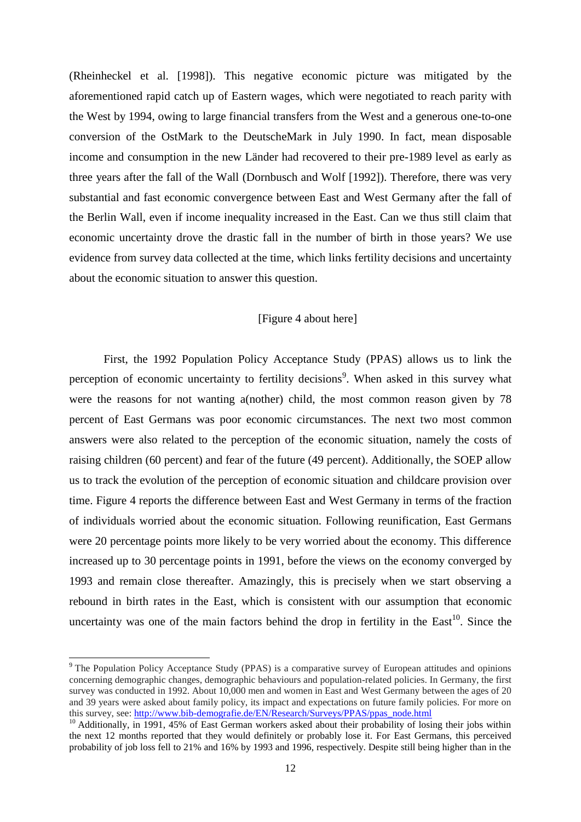(Rheinheckel et al. [1998]). This negative economic picture was mitigated by the aforementioned rapid catch up of Eastern wages, which were negotiated to reach parity with the West by 1994, owing to large financial transfers from the West and a generous one-to-one conversion of the OstMark to the DeutscheMark in July 1990. In fact, mean disposable income and consumption in the new Länder had recovered to their pre-1989 level as early as three years after the fall of the Wall (Dornbusch and Wolf [1992]). Therefore, there was very substantial and fast economic convergence between East and West Germany after the fall of the Berlin Wall, even if income inequality increased in the East. Can we thus still claim that economic uncertainty drove the drastic fall in the number of birth in those years? We use evidence from survey data collected at the time, which links fertility decisions and uncertainty about the economic situation to answer this question.

#### [Figure 4 about here]

First, the 1992 Population Policy Acceptance Study (PPAS) allows us to link the perception of economic uncertainty to fertility decisions<sup>9</sup>. When asked in this survey what were the reasons for not wanting a(nother) child, the most common reason given by 78 percent of East Germans was poor economic circumstances. The next two most common answers were also related to the perception of the economic situation, namely the costs of raising children (60 percent) and fear of the future (49 percent). Additionally, the SOEP allow us to track the evolution of the perception of economic situation and childcare provision over time. Figure 4 reports the difference between East and West Germany in terms of the fraction of individuals worried about the economic situation. Following reunification, East Germans were 20 percentage points more likely to be very worried about the economy. This difference increased up to 30 percentage points in 1991, before the views on the economy converged by 1993 and remain close thereafter. Amazingly, this is precisely when we start observing a rebound in birth rates in the East, which is consistent with our assumption that economic uncertainty was one of the main factors behind the drop in fertility in the  $East^{10}$ . Since the

 $\overline{\phantom{a}}$ 

<sup>9</sup> The Population Policy Acceptance Study (PPAS) is a comparative survey of European attitudes and opinions concerning demographic changes, demographic behaviours and population-related policies. In Germany, the first survey was conducted in 1992. About 10,000 men and women in East and West Germany between the ages of 20 and 39 years were asked about family policy, its impact and expectations on future family policies. For more on this survey, see: [http://www.bib-demografie.de/EN/Research/Surveys/PPAS/ppas\\_node.html](http://www.bib-demografie.de/EN/Research/Surveys/PPAS/ppas_node.html)

<sup>&</sup>lt;sup>10</sup> Additionally, in 1991, 45% of East German workers asked about their probability of losing their jobs within the next 12 months reported that they would definitely or probably lose it. For East Germans, this perceived probability of job loss fell to 21% and 16% by 1993 and 1996, respectively. Despite still being higher than in the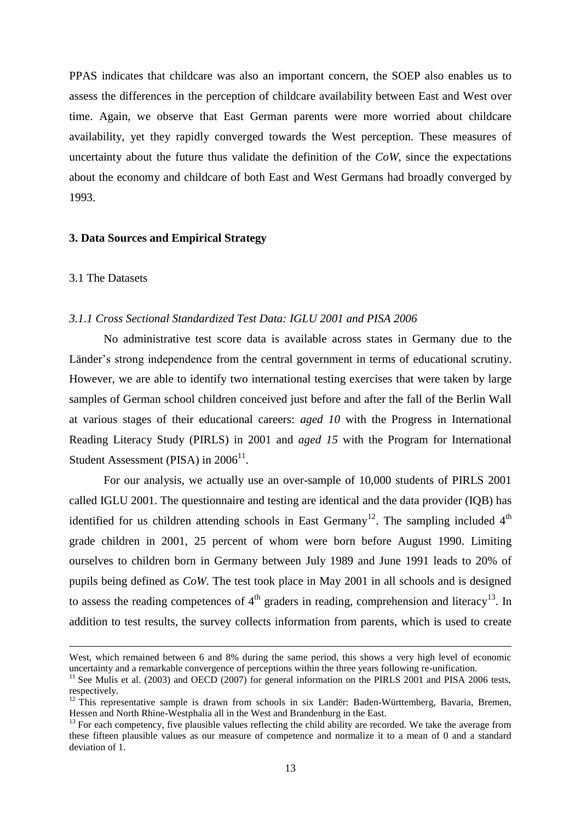PPAS indicates that childcare was also an important concern, the SOEP also enables us to assess the differences in the perception of childcare availability between East and West over time. Again, we observe that East German parents were more worried about childcare availability, yet they rapidly converged towards the West perception. These measures of uncertainty about the future thus validate the definition of the *CoW*, since the expectations about the economy and childcare of both East and West Germans had broadly converged by 1993.

#### **3. Data Sources and Empirical Strategy**

#### 3.1 The Datasets

 $\overline{a}$ 

#### *3.1.1 Cross Sectional Standardized Test Data: IGLU 2001 and PISA 2006*

No administrative test score data is available across states in Germany due to the Länder's strong independence from the central government in terms of educational scrutiny. However, we are able to identify two international testing exercises that were taken by large samples of German school children conceived just before and after the fall of the Berlin Wall at various stages of their educational careers: *aged 10* with the Progress in International Reading Literacy Study (PIRLS) in 2001 and *aged 15* with the Program for International Student Assessment (PISA) in  $2006^{11}$ .

For our analysis, we actually use an over-sample of 10,000 students of PIRLS 2001 called IGLU 2001. The questionnaire and testing are identical and the data provider (IQB) has identified for us children attending schools in East Germany<sup>12</sup>. The sampling included  $4<sup>th</sup>$ grade children in 2001, 25 percent of whom were born before August 1990. Limiting ourselves to children born in Germany between July 1989 and June 1991 leads to 20% of pupils being defined as *CoW*. The test took place in May 2001 in all schools and is designed to assess the reading competences of  $4<sup>th</sup>$  graders in reading, comprehension and literacy<sup>13</sup>. In addition to test results, the survey collects information from parents, which is used to create

West, which remained between 6 and 8% during the same period, this shows a very high level of economic uncertainty and a remarkable convergence of perceptions within the three years following re-unification.

<sup>&</sup>lt;sup>11</sup> See Mulis et al. (2003) and OECD (2007) for general information on the PIRLS 2001 and PISA 2006 tests, respectively.

 $12$  This representative sample is drawn from schools in six Landër: Baden-Württemberg, Bavaria, Bremen, Hessen and North Rhine-Westphalia all in the West and Brandenburg in the East.

 $13$  For each competency, five plausible values reflecting the child ability are recorded. We take the average from these fifteen plausible values as our measure of competence and normalize it to a mean of 0 and a standard deviation of 1.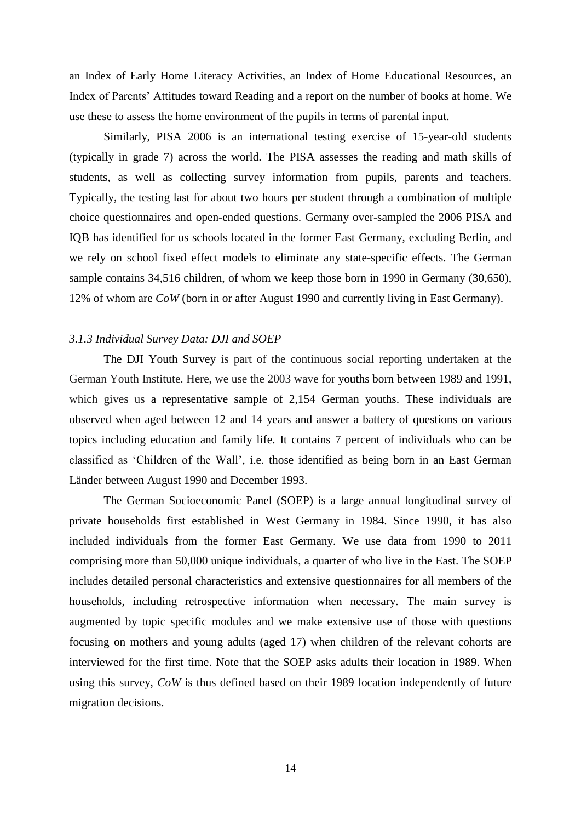an Index of Early Home Literacy Activities, an Index of Home Educational Resources, an Index of Parents' Attitudes toward Reading and a report on the number of books at home. We use these to assess the home environment of the pupils in terms of parental input.

Similarly, PISA 2006 is an international testing exercise of 15-year-old students (typically in grade 7) across the world. The PISA assesses the reading and math skills of students, as well as collecting survey information from pupils, parents and teachers. Typically, the testing last for about two hours per student through a combination of multiple choice questionnaires and open-ended questions. Germany over-sampled the 2006 PISA and IQB has identified for us schools located in the former East Germany, excluding Berlin, and we rely on school fixed effect models to eliminate any state-specific effects. The German sample contains 34,516 children, of whom we keep those born in 1990 in Germany (30,650), 12% of whom are *CoW* (born in or after August 1990 and currently living in East Germany).

#### *3.1.3 Individual Survey Data: DJI and SOEP*

The DJI Youth Survey is part of the continuous social reporting undertaken at the German Youth Institute. Here, we use the 2003 wave for youths born between 1989 and 1991, which gives us a representative sample of 2,154 German youths. These individuals are observed when aged between 12 and 14 years and answer a battery of questions on various topics including education and family life. It contains 7 percent of individuals who can be classified as 'Children of the Wall', i.e. those identified as being born in an East German Länder between August 1990 and December 1993.

The German Socioeconomic Panel (SOEP) is a large annual longitudinal survey of private households first established in West Germany in 1984. Since 1990, it has also included individuals from the former East Germany. We use data from 1990 to 2011 comprising more than 50,000 unique individuals, a quarter of who live in the East. The SOEP includes detailed personal characteristics and extensive questionnaires for all members of the households, including retrospective information when necessary. The main survey is augmented by topic specific modules and we make extensive use of those with questions focusing on mothers and young adults (aged 17) when children of the relevant cohorts are interviewed for the first time. Note that the SOEP asks adults their location in 1989. When using this survey, *CoW* is thus defined based on their 1989 location independently of future migration decisions.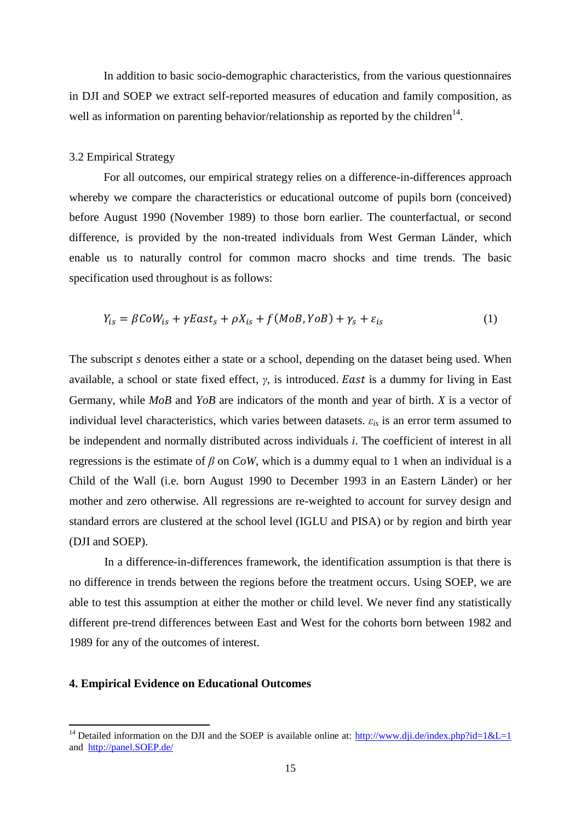In addition to basic socio-demographic characteristics, from the various questionnaires in DJI and SOEP we extract self-reported measures of education and family composition, as well as information on parenting behavior/relationship as reported by the children<sup>14</sup>.

#### 3.2 Empirical Strategy

For all outcomes, our empirical strategy relies on a difference-in-differences approach whereby we compare the characteristics or educational outcome of pupils born (conceived) before August 1990 (November 1989) to those born earlier. The counterfactual, or second difference, is provided by the non-treated individuals from West German Länder, which enable us to naturally control for common macro shocks and time trends. The basic specification used throughout is as follows:

$$
Y_{is} = \beta \mathcal{C}oW_{is} + \gamma \mathcal{E}ast_s + \rho X_{is} + f(MoB, YoB) + \gamma_s + \varepsilon_{is}
$$
 (1)

The subscript *s* denotes either a state or a school, depending on the dataset being used. When available, a school or state fixed effect, *γ*, is introduced. East is a dummy for living in East Germany, while *MoB* and *YoB* are indicators of the month and year of birth. *X* is a vector of individual level characteristics, which varies between datasets.  $\varepsilon_{is}$  is an error term assumed to be independent and normally distributed across individuals *i*. The coefficient of interest in all regressions is the estimate of *β* on *CoW*, which is a dummy equal to 1 when an individual is a Child of the Wall (i.e. born August 1990 to December 1993 in an Eastern Länder) or her mother and zero otherwise. All regressions are re-weighted to account for survey design and standard errors are clustered at the school level (IGLU and PISA) or by region and birth year (DJI and SOEP).

In a difference-in-differences framework, the identification assumption is that there is no difference in trends between the regions before the treatment occurs. Using SOEP, we are able to test this assumption at either the mother or child level. We never find any statistically different pre-trend differences between East and West for the cohorts born between 1982 and 1989 for any of the outcomes of interest.

#### **4. Empirical Evidence on Educational Outcomes**

 $\overline{\phantom{a}}$ 

<sup>&</sup>lt;sup>14</sup> Detailed information on the DJI and the SOEP is available online at:  $\frac{http://www.dji.de/index.php?id=1&L=1}$ and [http://panel.SOEP.de/](http://panel.gsoep.de/)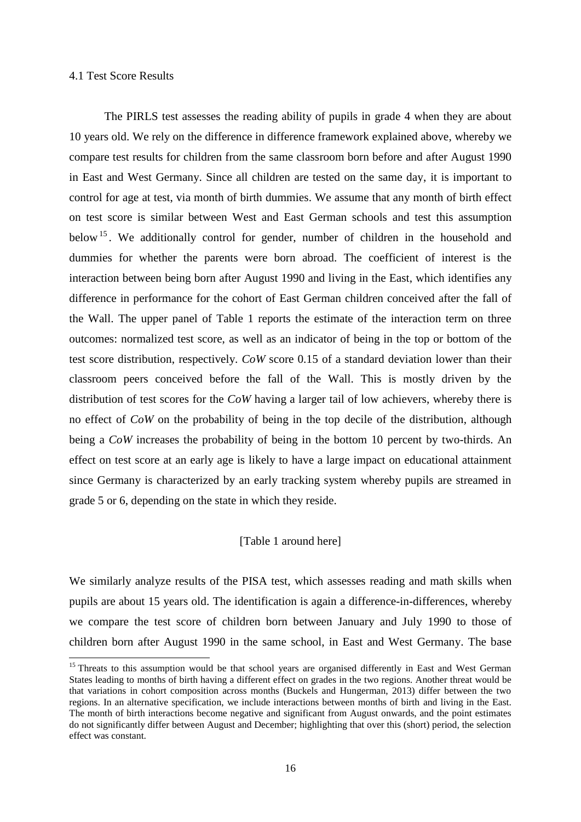#### 4.1 Test Score Results

 $\overline{\phantom{a}}$ 

The PIRLS test assesses the reading ability of pupils in grade 4 when they are about 10 years old. We rely on the difference in difference framework explained above, whereby we compare test results for children from the same classroom born before and after August 1990 in East and West Germany. Since all children are tested on the same day, it is important to control for age at test, via month of birth dummies. We assume that any month of birth effect on test score is similar between West and East German schools and test this assumption below<sup>15</sup>. We additionally control for gender, number of children in the household and dummies for whether the parents were born abroad. The coefficient of interest is the interaction between being born after August 1990 and living in the East, which identifies any difference in performance for the cohort of East German children conceived after the fall of the Wall. The upper panel of Table 1 reports the estimate of the interaction term on three outcomes: normalized test score, as well as an indicator of being in the top or bottom of the test score distribution, respectively. *CoW* score 0.15 of a standard deviation lower than their classroom peers conceived before the fall of the Wall. This is mostly driven by the distribution of test scores for the *CoW* having a larger tail of low achievers, whereby there is no effect of *CoW* on the probability of being in the top decile of the distribution, although being a *CoW* increases the probability of being in the bottom 10 percent by two-thirds. An effect on test score at an early age is likely to have a large impact on educational attainment since Germany is characterized by an early tracking system whereby pupils are streamed in grade 5 or 6, depending on the state in which they reside.

#### [Table 1 around here]

We similarly analyze results of the PISA test, which assesses reading and math skills when pupils are about 15 years old. The identification is again a difference-in-differences, whereby we compare the test score of children born between January and July 1990 to those of children born after August 1990 in the same school, in East and West Germany. The base

<sup>&</sup>lt;sup>15</sup> Threats to this assumption would be that school years are organised differently in East and West German States leading to months of birth having a different effect on grades in the two regions. Another threat would be that variations in cohort composition across months (Buckels and Hungerman, 2013) differ between the two regions. In an alternative specification, we include interactions between months of birth and living in the East. The month of birth interactions become negative and significant from August onwards, and the point estimates do not significantly differ between August and December; highlighting that over this (short) period, the selection effect was constant.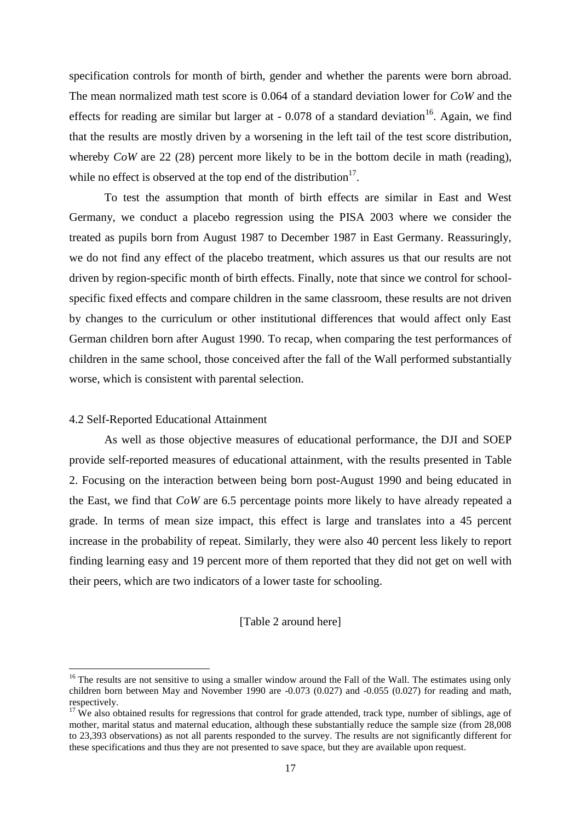specification controls for month of birth, gender and whether the parents were born abroad. The mean normalized math test score is 0.064 of a standard deviation lower for *CoW* and the effects for reading are similar but larger at  $-0.078$  of a standard deviation<sup>16</sup>. Again, we find that the results are mostly driven by a worsening in the left tail of the test score distribution, whereby *CoW* are 22 (28) percent more likely to be in the bottom decile in math (reading), while no effect is observed at the top end of the distribution $17$ .

To test the assumption that month of birth effects are similar in East and West Germany, we conduct a placebo regression using the PISA 2003 where we consider the treated as pupils born from August 1987 to December 1987 in East Germany. Reassuringly, we do not find any effect of the placebo treatment, which assures us that our results are not driven by region-specific month of birth effects. Finally, note that since we control for schoolspecific fixed effects and compare children in the same classroom, these results are not driven by changes to the curriculum or other institutional differences that would affect only East German children born after August 1990. To recap, when comparing the test performances of children in the same school, those conceived after the fall of the Wall performed substantially worse, which is consistent with parental selection.

#### 4.2 Self-Reported Educational Attainment

l

As well as those objective measures of educational performance, the DJI and SOEP provide self-reported measures of educational attainment, with the results presented in Table 2. Focusing on the interaction between being born post-August 1990 and being educated in the East, we find that *CoW* are 6.5 percentage points more likely to have already repeated a grade. In terms of mean size impact, this effect is large and translates into a 45 percent increase in the probability of repeat. Similarly, they were also 40 percent less likely to report finding learning easy and 19 percent more of them reported that they did not get on well with their peers, which are two indicators of a lower taste for schooling.

#### [Table 2 around here]

<sup>&</sup>lt;sup>16</sup> The results are not sensitive to using a smaller window around the Fall of the Wall. The estimates using only children born between May and November 1990 are -0.073 (0.027) and -0.055 (0.027) for reading and math, respectively.

 $17$  We also obtained results for regressions that control for grade attended, track type, number of siblings, age of mother, marital status and maternal education, although these substantially reduce the sample size (from 28,008 to 23,393 observations) as not all parents responded to the survey. The results are not significantly different for these specifications and thus they are not presented to save space, but they are available upon request.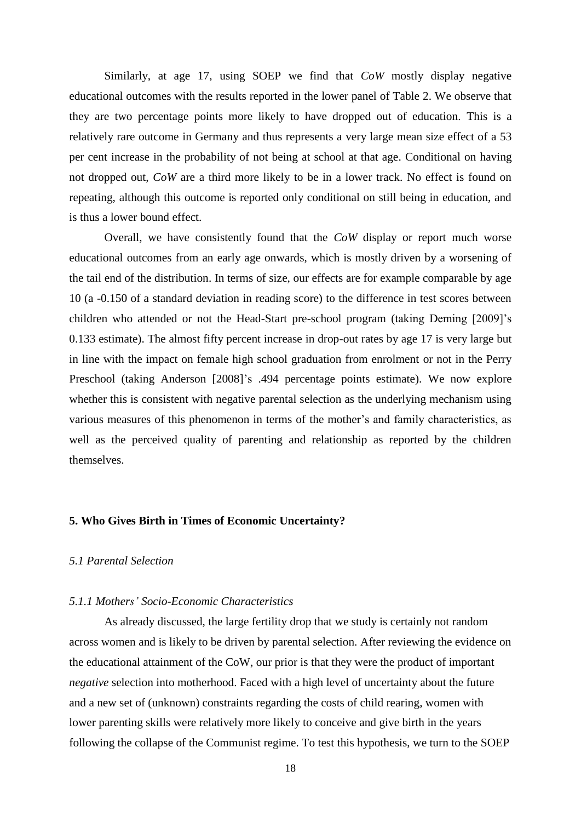Similarly, at age 17, using SOEP we find that *CoW* mostly display negative educational outcomes with the results reported in the lower panel of Table 2. We observe that they are two percentage points more likely to have dropped out of education. This is a relatively rare outcome in Germany and thus represents a very large mean size effect of a 53 per cent increase in the probability of not being at school at that age. Conditional on having not dropped out, *CoW* are a third more likely to be in a lower track. No effect is found on repeating, although this outcome is reported only conditional on still being in education, and is thus a lower bound effect.

Overall, we have consistently found that the *CoW* display or report much worse educational outcomes from an early age onwards, which is mostly driven by a worsening of the tail end of the distribution. In terms of size, our effects are for example comparable by age 10 (a -0.150 of a standard deviation in reading score) to the difference in test scores between children who attended or not the Head-Start pre-school program (taking Deming [2009]'s 0.133 estimate). The almost fifty percent increase in drop-out rates by age 17 is very large but in line with the impact on female high school graduation from enrolment or not in the Perry Preschool (taking Anderson [2008]'s .494 percentage points estimate). We now explore whether this is consistent with negative parental selection as the underlying mechanism using various measures of this phenomenon in terms of the mother's and family characteristics, as well as the perceived quality of parenting and relationship as reported by the children themselves.

#### **5. Who Gives Birth in Times of Economic Uncertainty?**

#### *5.1 Parental Selection*

#### *5.1.1 Mothers' Socio-Economic Characteristics*

As already discussed, the large fertility drop that we study is certainly not random across women and is likely to be driven by parental selection. After reviewing the evidence on the educational attainment of the CoW, our prior is that they were the product of important *negative* selection into motherhood. Faced with a high level of uncertainty about the future and a new set of (unknown) constraints regarding the costs of child rearing, women with lower parenting skills were relatively more likely to conceive and give birth in the years following the collapse of the Communist regime. To test this hypothesis, we turn to the SOEP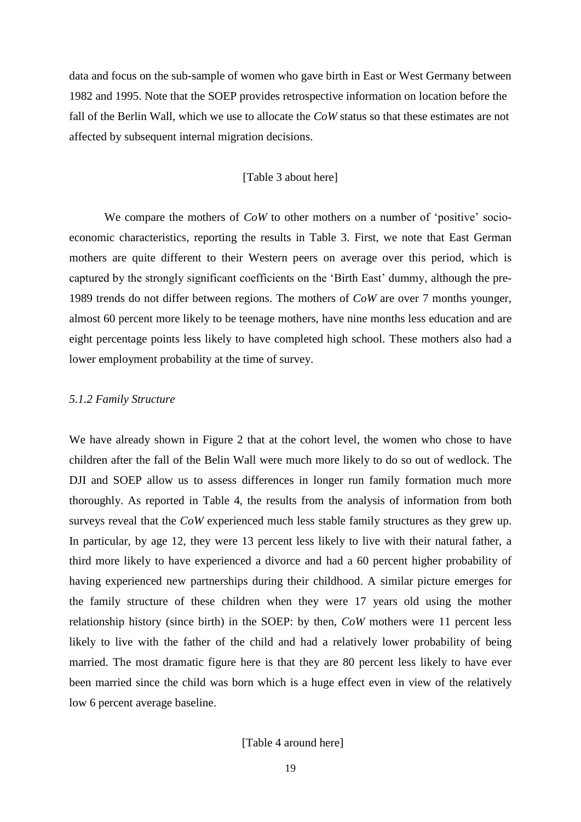data and focus on the sub-sample of women who gave birth in East or West Germany between 1982 and 1995. Note that the SOEP provides retrospective information on location before the fall of the Berlin Wall, which we use to allocate the *CoW* status so that these estimates are not affected by subsequent internal migration decisions.

#### [Table 3 about here]

We compare the mothers of *CoW* to other mothers on a number of 'positive' socioeconomic characteristics, reporting the results in Table 3. First, we note that East German mothers are quite different to their Western peers on average over this period, which is captured by the strongly significant coefficients on the 'Birth East' dummy, although the pre-1989 trends do not differ between regions. The mothers of *CoW* are over 7 months younger, almost 60 percent more likely to be teenage mothers, have nine months less education and are eight percentage points less likely to have completed high school. These mothers also had a lower employment probability at the time of survey.

#### *5.1.2 Family Structure*

We have already shown in Figure 2 that at the cohort level, the women who chose to have children after the fall of the Belin Wall were much more likely to do so out of wedlock. The DJI and SOEP allow us to assess differences in longer run family formation much more thoroughly. As reported in Table 4, the results from the analysis of information from both surveys reveal that the *CoW* experienced much less stable family structures as they grew up. In particular, by age 12, they were 13 percent less likely to live with their natural father, a third more likely to have experienced a divorce and had a 60 percent higher probability of having experienced new partnerships during their childhood. A similar picture emerges for the family structure of these children when they were 17 years old using the mother relationship history (since birth) in the SOEP: by then, *CoW* mothers were 11 percent less likely to live with the father of the child and had a relatively lower probability of being married. The most dramatic figure here is that they are 80 percent less likely to have ever been married since the child was born which is a huge effect even in view of the relatively low 6 percent average baseline.

[Table 4 around here]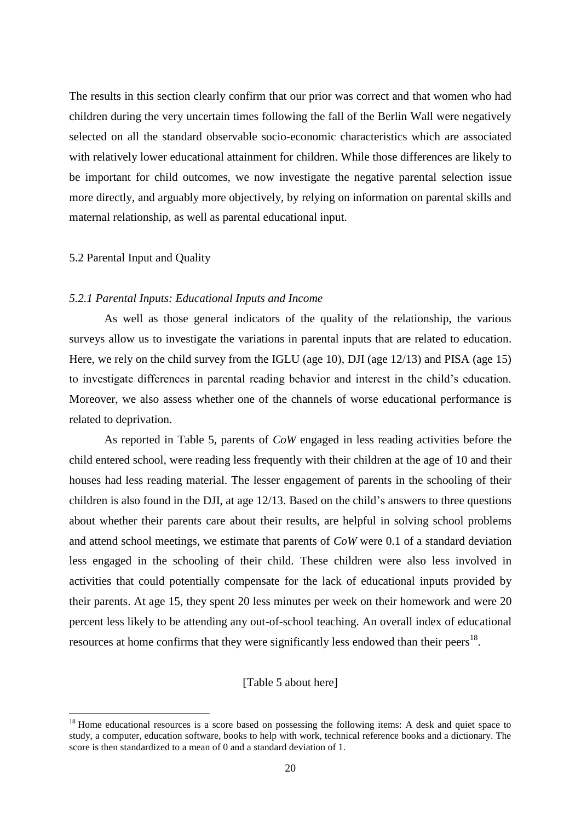The results in this section clearly confirm that our prior was correct and that women who had children during the very uncertain times following the fall of the Berlin Wall were negatively selected on all the standard observable socio-economic characteristics which are associated with relatively lower educational attainment for children. While those differences are likely to be important for child outcomes, we now investigate the negative parental selection issue more directly, and arguably more objectively, by relying on information on parental skills and maternal relationship, as well as parental educational input.

#### 5.2 Parental Input and Quality

 $\overline{a}$ 

#### *5.2.1 Parental Inputs: Educational Inputs and Income*

As well as those general indicators of the quality of the relationship, the various surveys allow us to investigate the variations in parental inputs that are related to education. Here, we rely on the child survey from the IGLU (age 10), DJI (age 12/13) and PISA (age 15) to investigate differences in parental reading behavior and interest in the child's education. Moreover, we also assess whether one of the channels of worse educational performance is related to deprivation.

As reported in Table 5, parents of *CoW* engaged in less reading activities before the child entered school, were reading less frequently with their children at the age of 10 and their houses had less reading material. The lesser engagement of parents in the schooling of their children is also found in the DJI, at age 12/13. Based on the child's answers to three questions about whether their parents care about their results, are helpful in solving school problems and attend school meetings, we estimate that parents of *CoW* were 0.1 of a standard deviation less engaged in the schooling of their child. These children were also less involved in activities that could potentially compensate for the lack of educational inputs provided by their parents. At age 15, they spent 20 less minutes per week on their homework and were 20 percent less likely to be attending any out-of-school teaching. An overall index of educational resources at home confirms that they were significantly less endowed than their peers<sup>18</sup>.

[Table 5 about here]

<sup>&</sup>lt;sup>18</sup> Home educational resources is a score based on possessing the following items: A desk and quiet space to study, a computer, education software, books to help with work, technical reference books and a dictionary. The score is then standardized to a mean of 0 and a standard deviation of 1.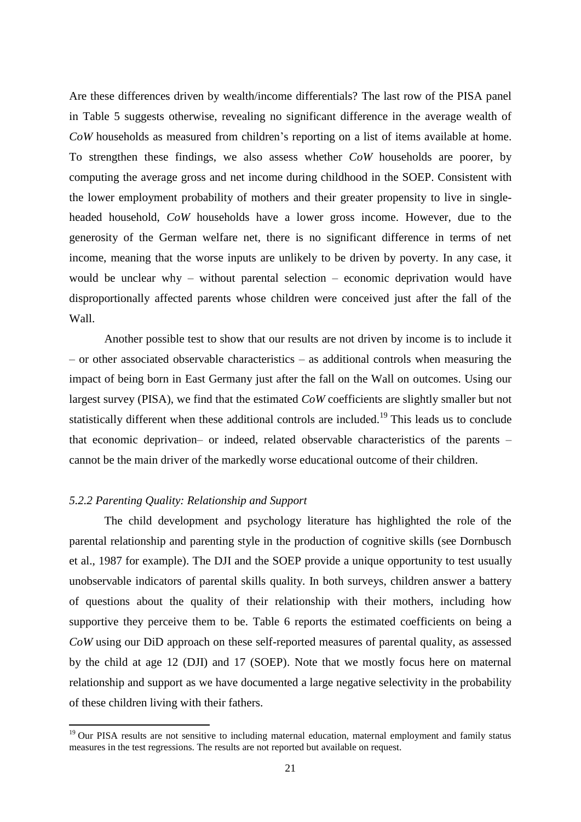Are these differences driven by wealth/income differentials? The last row of the PISA panel in Table 5 suggests otherwise, revealing no significant difference in the average wealth of *CoW* households as measured from children's reporting on a list of items available at home. To strengthen these findings, we also assess whether *CoW* households are poorer, by computing the average gross and net income during childhood in the SOEP. Consistent with the lower employment probability of mothers and their greater propensity to live in singleheaded household, *CoW* households have a lower gross income. However, due to the generosity of the German welfare net, there is no significant difference in terms of net income, meaning that the worse inputs are unlikely to be driven by poverty. In any case, it would be unclear why – without parental selection – economic deprivation would have disproportionally affected parents whose children were conceived just after the fall of the Wall.

Another possible test to show that our results are not driven by income is to include it – or other associated observable characteristics – as additional controls when measuring the impact of being born in East Germany just after the fall on the Wall on outcomes. Using our largest survey (PISA), we find that the estimated *CoW* coefficients are slightly smaller but not statistically different when these additional controls are included.<sup>19</sup> This leads us to conclude that economic deprivation– or indeed, related observable characteristics of the parents – cannot be the main driver of the markedly worse educational outcome of their children.

#### *5.2.2 Parenting Quality: Relationship and Support*

 $\overline{\phantom{a}}$ 

The child development and psychology literature has highlighted the role of the parental relationship and parenting style in the production of cognitive skills (see Dornbusch et al., 1987 for example). The DJI and the SOEP provide a unique opportunity to test usually unobservable indicators of parental skills quality. In both surveys, children answer a battery of questions about the quality of their relationship with their mothers, including how supportive they perceive them to be. Table 6 reports the estimated coefficients on being a *CoW* using our DiD approach on these self-reported measures of parental quality, as assessed by the child at age 12 (DJI) and 17 (SOEP). Note that we mostly focus here on maternal relationship and support as we have documented a large negative selectivity in the probability of these children living with their fathers.

<sup>&</sup>lt;sup>19</sup> Our PISA results are not sensitive to including maternal education, maternal employment and family status measures in the test regressions. The results are not reported but available on request.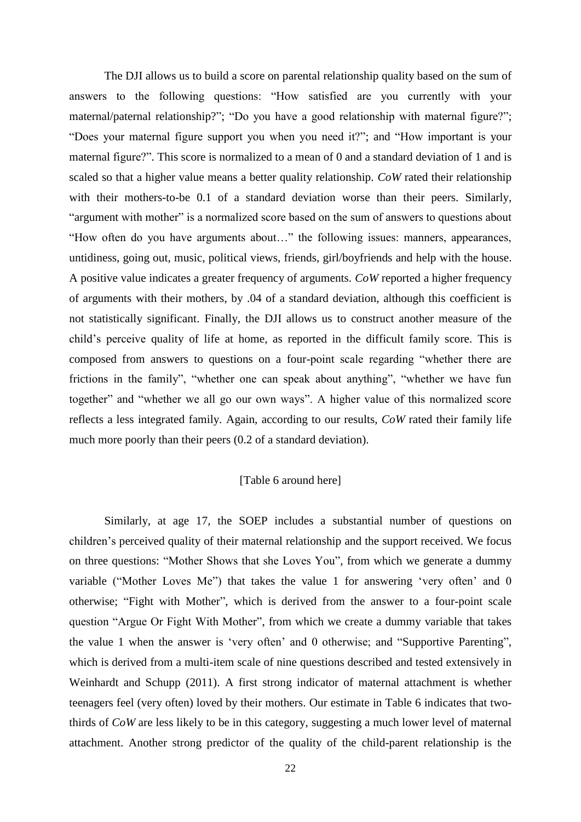The DJI allows us to build a score on parental relationship quality based on the sum of answers to the following questions: "How satisfied are you currently with your maternal/paternal relationship?"; "Do you have a good relationship with maternal figure?"; "Does your maternal figure support you when you need it?"; and "How important is your maternal figure?". This score is normalized to a mean of 0 and a standard deviation of 1 and is scaled so that a higher value means a better quality relationship. *CoW* rated their relationship with their mothers-to-be 0.1 of a standard deviation worse than their peers. Similarly, "argument with mother" is a normalized score based on the sum of answers to questions about "How often do you have arguments about…" the following issues: manners, appearances, untidiness, going out, music, political views, friends, girl/boyfriends and help with the house. A positive value indicates a greater frequency of arguments. *CoW* reported a higher frequency of arguments with their mothers, by .04 of a standard deviation, although this coefficient is not statistically significant. Finally, the DJI allows us to construct another measure of the child's perceive quality of life at home, as reported in the difficult family score. This is composed from answers to questions on a four-point scale regarding "whether there are frictions in the family", "whether one can speak about anything", "whether we have fun together" and "whether we all go our own ways". A higher value of this normalized score reflects a less integrated family. Again, according to our results, *CoW* rated their family life much more poorly than their peers (0.2 of a standard deviation).

#### [Table 6 around here]

Similarly, at age 17, the SOEP includes a substantial number of questions on children's perceived quality of their maternal relationship and the support received. We focus on three questions: "Mother Shows that she Loves You", from which we generate a dummy variable ("Mother Loves Me") that takes the value 1 for answering 'very often' and 0 otherwise; "Fight with Mother", which is derived from the answer to a four-point scale question "Argue Or Fight With Mother", from which we create a dummy variable that takes the value 1 when the answer is 'very often' and 0 otherwise; and "Supportive Parenting", which is derived from a multi-item scale of nine questions described and tested extensively in Weinhardt and Schupp (2011). A first strong indicator of maternal attachment is whether teenagers feel (very often) loved by their mothers. Our estimate in Table 6 indicates that twothirds of *CoW* are less likely to be in this category, suggesting a much lower level of maternal attachment. Another strong predictor of the quality of the child-parent relationship is the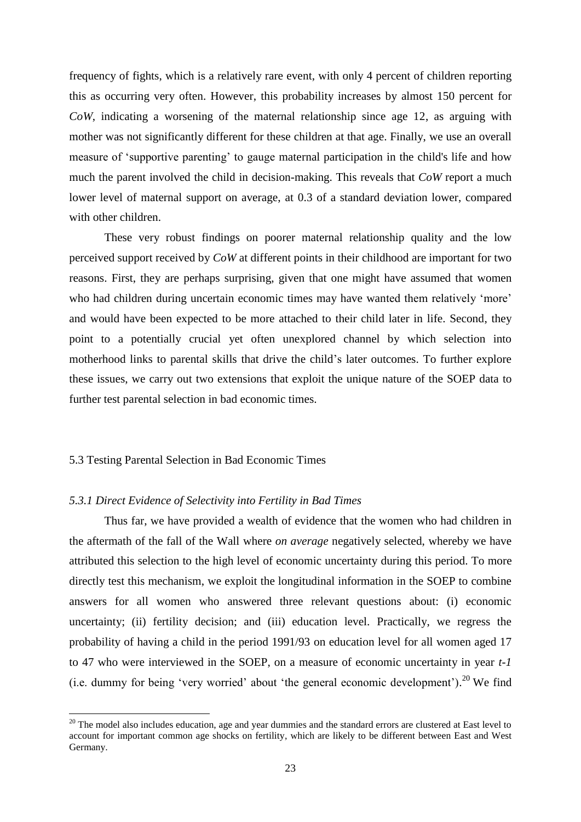frequency of fights, which is a relatively rare event, with only 4 percent of children reporting this as occurring very often. However, this probability increases by almost 150 percent for *CoW*, indicating a worsening of the maternal relationship since age 12, as arguing with mother was not significantly different for these children at that age. Finally, we use an overall measure of 'supportive parenting' to gauge maternal participation in the child's life and how much the parent involved the child in decision-making. This reveals that *CoW* report a much lower level of maternal support on average, at 0.3 of a standard deviation lower, compared with other children.

These very robust findings on poorer maternal relationship quality and the low perceived support received by *CoW* at different points in their childhood are important for two reasons. First, they are perhaps surprising, given that one might have assumed that women who had children during uncertain economic times may have wanted them relatively 'more' and would have been expected to be more attached to their child later in life. Second, they point to a potentially crucial yet often unexplored channel by which selection into motherhood links to parental skills that drive the child's later outcomes. To further explore these issues, we carry out two extensions that exploit the unique nature of the SOEP data to further test parental selection in bad economic times.

#### 5.3 Testing Parental Selection in Bad Economic Times

 $\overline{a}$ 

#### *5.3.1 Direct Evidence of Selectivity into Fertility in Bad Times*

Thus far, we have provided a wealth of evidence that the women who had children in the aftermath of the fall of the Wall where *on average* negatively selected, whereby we have attributed this selection to the high level of economic uncertainty during this period. To more directly test this mechanism, we exploit the longitudinal information in the SOEP to combine answers for all women who answered three relevant questions about: (i) economic uncertainty; (ii) fertility decision; and (iii) education level. Practically, we regress the probability of having a child in the period 1991/93 on education level for all women aged 17 to 47 who were interviewed in the SOEP, on a measure of economic uncertainty in year *t-1* (i.e. dummy for being 'very worried' about 'the general economic development').<sup>20</sup> We find

<sup>&</sup>lt;sup>20</sup> The model also includes education, age and year dummies and the standard errors are clustered at East level to account for important common age shocks on fertility, which are likely to be different between East and West Germany.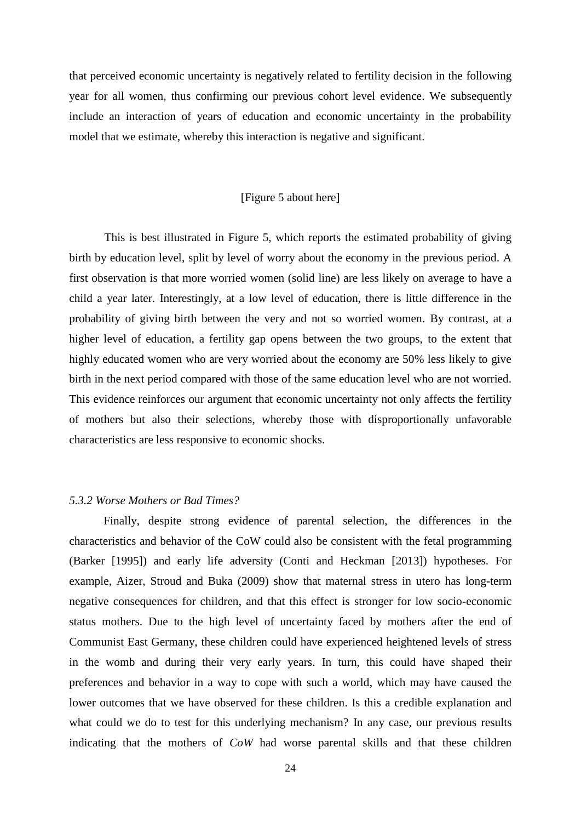that perceived economic uncertainty is negatively related to fertility decision in the following year for all women, thus confirming our previous cohort level evidence. We subsequently include an interaction of years of education and economic uncertainty in the probability model that we estimate, whereby this interaction is negative and significant.

#### [Figure 5 about here]

This is best illustrated in Figure 5, which reports the estimated probability of giving birth by education level, split by level of worry about the economy in the previous period. A first observation is that more worried women (solid line) are less likely on average to have a child a year later. Interestingly, at a low level of education, there is little difference in the probability of giving birth between the very and not so worried women. By contrast, at a higher level of education, a fertility gap opens between the two groups, to the extent that highly educated women who are very worried about the economy are 50% less likely to give birth in the next period compared with those of the same education level who are not worried. This evidence reinforces our argument that economic uncertainty not only affects the fertility of mothers but also their selections, whereby those with disproportionally unfavorable characteristics are less responsive to economic shocks.

#### *5.3.2 Worse Mothers or Bad Times?*

Finally, despite strong evidence of parental selection, the differences in the characteristics and behavior of the CoW could also be consistent with the fetal programming (Barker [1995]) and early life adversity (Conti and Heckman [2013]) hypotheses. For example, Aizer, Stroud and Buka (2009) show that maternal stress in utero has long-term negative consequences for children, and that this effect is stronger for low socio-economic status mothers. Due to the high level of uncertainty faced by mothers after the end of Communist East Germany, these children could have experienced heightened levels of stress in the womb and during their very early years. In turn, this could have shaped their preferences and behavior in a way to cope with such a world, which may have caused the lower outcomes that we have observed for these children. Is this a credible explanation and what could we do to test for this underlying mechanism? In any case, our previous results indicating that the mothers of *CoW* had worse parental skills and that these children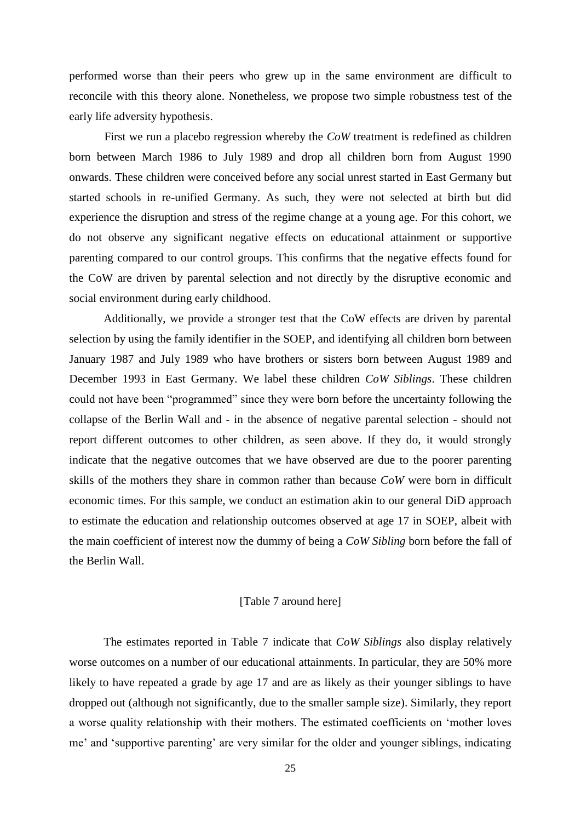performed worse than their peers who grew up in the same environment are difficult to reconcile with this theory alone. Nonetheless, we propose two simple robustness test of the early life adversity hypothesis.

First we run a placebo regression whereby the *CoW* treatment is redefined as children born between March 1986 to July 1989 and drop all children born from August 1990 onwards. These children were conceived before any social unrest started in East Germany but started schools in re-unified Germany. As such, they were not selected at birth but did experience the disruption and stress of the regime change at a young age. For this cohort, we do not observe any significant negative effects on educational attainment or supportive parenting compared to our control groups. This confirms that the negative effects found for the CoW are driven by parental selection and not directly by the disruptive economic and social environment during early childhood.

Additionally, we provide a stronger test that the CoW effects are driven by parental selection by using the family identifier in the SOEP, and identifying all children born between January 1987 and July 1989 who have brothers or sisters born between August 1989 and December 1993 in East Germany. We label these children *CoW Siblings*. These children could not have been "programmed" since they were born before the uncertainty following the collapse of the Berlin Wall and - in the absence of negative parental selection - should not report different outcomes to other children, as seen above. If they do, it would strongly indicate that the negative outcomes that we have observed are due to the poorer parenting skills of the mothers they share in common rather than because *CoW* were born in difficult economic times. For this sample, we conduct an estimation akin to our general DiD approach to estimate the education and relationship outcomes observed at age 17 in SOEP, albeit with the main coefficient of interest now the dummy of being a *CoW Sibling* born before the fall of the Berlin Wall.

#### [Table 7 around here]

The estimates reported in Table 7 indicate that *CoW Siblings* also display relatively worse outcomes on a number of our educational attainments. In particular, they are 50% more likely to have repeated a grade by age 17 and are as likely as their younger siblings to have dropped out (although not significantly, due to the smaller sample size). Similarly, they report a worse quality relationship with their mothers. The estimated coefficients on 'mother loves me' and 'supportive parenting' are very similar for the older and younger siblings, indicating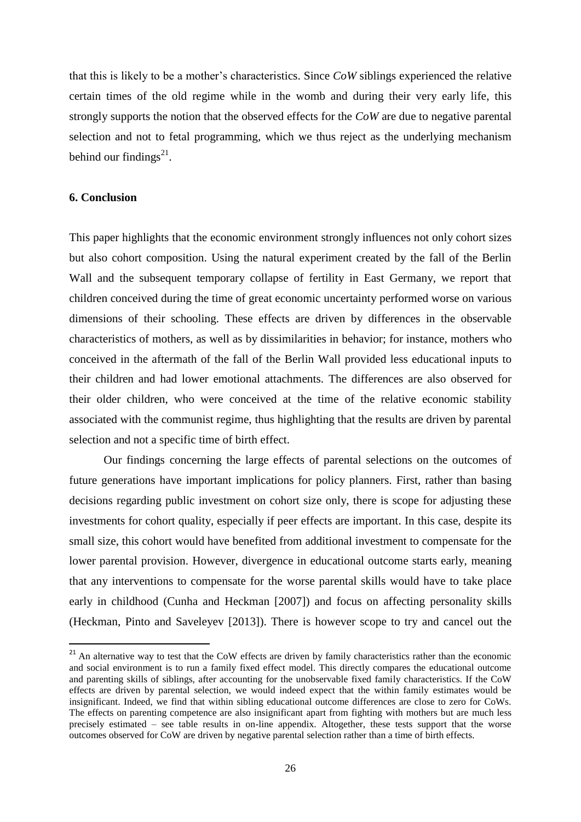that this is likely to be a mother's characteristics. Since *CoW* siblings experienced the relative certain times of the old regime while in the womb and during their very early life, this strongly supports the notion that the observed effects for the *CoW* are due to negative parental selection and not to fetal programming, which we thus reject as the underlying mechanism behind our findings $^{21}$ .

#### **6. Conclusion**

 $\overline{a}$ 

This paper highlights that the economic environment strongly influences not only cohort sizes but also cohort composition. Using the natural experiment created by the fall of the Berlin Wall and the subsequent temporary collapse of fertility in East Germany, we report that children conceived during the time of great economic uncertainty performed worse on various dimensions of their schooling. These effects are driven by differences in the observable characteristics of mothers, as well as by dissimilarities in behavior; for instance, mothers who conceived in the aftermath of the fall of the Berlin Wall provided less educational inputs to their children and had lower emotional attachments. The differences are also observed for their older children, who were conceived at the time of the relative economic stability associated with the communist regime, thus highlighting that the results are driven by parental selection and not a specific time of birth effect.

Our findings concerning the large effects of parental selections on the outcomes of future generations have important implications for policy planners. First, rather than basing decisions regarding public investment on cohort size only, there is scope for adjusting these investments for cohort quality, especially if peer effects are important. In this case, despite its small size, this cohort would have benefited from additional investment to compensate for the lower parental provision. However, divergence in educational outcome starts early, meaning that any interventions to compensate for the worse parental skills would have to take place early in childhood (Cunha and Heckman [2007]) and focus on affecting personality skills (Heckman, Pinto and Saveleyev [2013]). There is however scope to try and cancel out the

 $21$  An alternative way to test that the CoW effects are driven by family characteristics rather than the economic and social environment is to run a family fixed effect model. This directly compares the educational outcome and parenting skills of siblings, after accounting for the unobservable fixed family characteristics. If the CoW effects are driven by parental selection, we would indeed expect that the within family estimates would be insignificant. Indeed, we find that within sibling educational outcome differences are close to zero for CoWs. The effects on parenting competence are also insignificant apart from fighting with mothers but are much less precisely estimated – see table results in on-line appendix. Altogether, these tests support that the worse outcomes observed for CoW are driven by negative parental selection rather than a time of birth effects.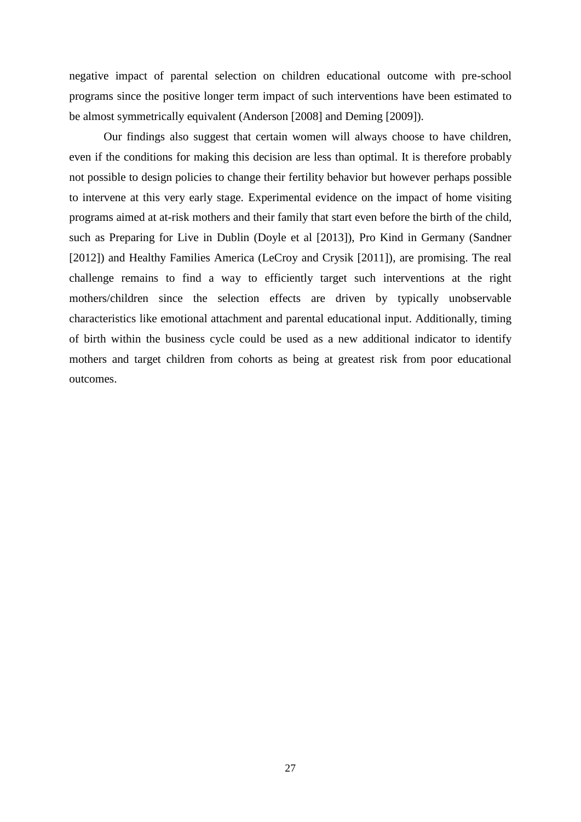negative impact of parental selection on children educational outcome with pre-school programs since the positive longer term impact of such interventions have been estimated to be almost symmetrically equivalent (Anderson [2008] and Deming [2009]).

Our findings also suggest that certain women will always choose to have children, even if the conditions for making this decision are less than optimal. It is therefore probably not possible to design policies to change their fertility behavior but however perhaps possible to intervene at this very early stage. Experimental evidence on the impact of home visiting programs aimed at at-risk mothers and their family that start even before the birth of the child, such as Preparing for Live in Dublin (Doyle et al [2013]), Pro Kind in Germany (Sandner [2012]) and Healthy Families America (LeCroy and Crysik [2011]), are promising. The real challenge remains to find a way to efficiently target such interventions at the right mothers/children since the selection effects are driven by typically unobservable characteristics like emotional attachment and parental educational input. Additionally, timing of birth within the business cycle could be used as a new additional indicator to identify mothers and target children from cohorts as being at greatest risk from poor educational outcomes.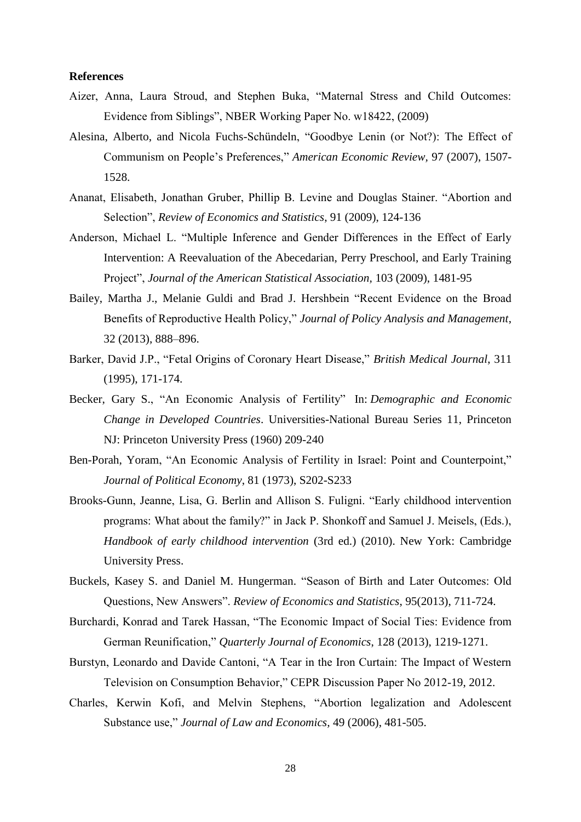#### **References**

- Aizer, Anna, Laura Stroud, and Stephen Buka, "Maternal Stress and Child Outcomes: Evidence from Siblings", NBER Working Paper No. w18422, (2009)
- Alesina, Alberto, and Nicola Fuchs-Schündeln, "Goodbye Lenin (or Not?): The Effect of Communism on People's Preferences," *American Economic Review,* 97 (2007), 1507- 1528.
- Ananat, Elisabeth, Jonathan Gruber, Phillip B. Levine and Douglas Stainer. "Abortion and Selection", *Review of Economics and Statistics*, 91 (2009), 124-136
- Anderson, Michael L. "Multiple Inference and Gender Differences in the Effect of Early Intervention: A Reevaluation of the Abecedarian, Perry Preschool, and Early Training Project", *Journal of the American Statistical Association,* 103 (2009), 1481-95
- Bailey, Martha J., Melanie Guldi and Brad J. Hershbein "Recent Evidence on the Broad Benefits of Reproductive Health Policy," *Journal of Policy Analysis and Management*, 32 (2013), 888–896.
- Barker, David J.P., "Fetal Origins of Coronary Heart Disease," *British Medical Journal*, 311 (1995), 171-174.
- Becker, Gary S., "An Economic Analysis of Fertility" In: *Demographic and Economic Change in Developed Countries*. Universities-National Bureau Series 11, Princeton NJ: Princeton University Press (1960) 209-240
- Ben-Porah, Yoram, "An Economic Analysis of Fertility in Israel: Point and Counterpoint," *Journal of Political Economy*, 81 (1973), S202-S233
- Brooks-Gunn, Jeanne, Lisa, G. Berlin and Allison S. Fuligni. "Early childhood intervention programs: What about the family?" in Jack P. Shonkoff and Samuel J. Meisels, (Eds.), *Handbook of early childhood intervention* (3rd ed.) (2010). New York: Cambridge University Press.
- Buckels, Kasey S. and Daniel M. Hungerman. "Season of Birth and Later Outcomes: Old Questions, New Answers". *Review of Economics and Statistics*, 95(2013), 711-724.
- Burchardi, Konrad and Tarek Hassan, "The Economic Impact of Social Ties: Evidence from German Reunification," *Quarterly Journal of Economics*, 128 (2013), 1219-1271.
- Burstyn, Leonardo and Davide Cantoni, "A Tear in the Iron Curtain: The Impact of Western Television on Consumption Behavior," CEPR Discussion Paper No 2012-19, 2012.
- Charles, Kerwin Kofi, and Melvin Stephens, "Abortion legalization and Adolescent Substance use," *Journal of Law and Economics,* 49 (2006), 481-505.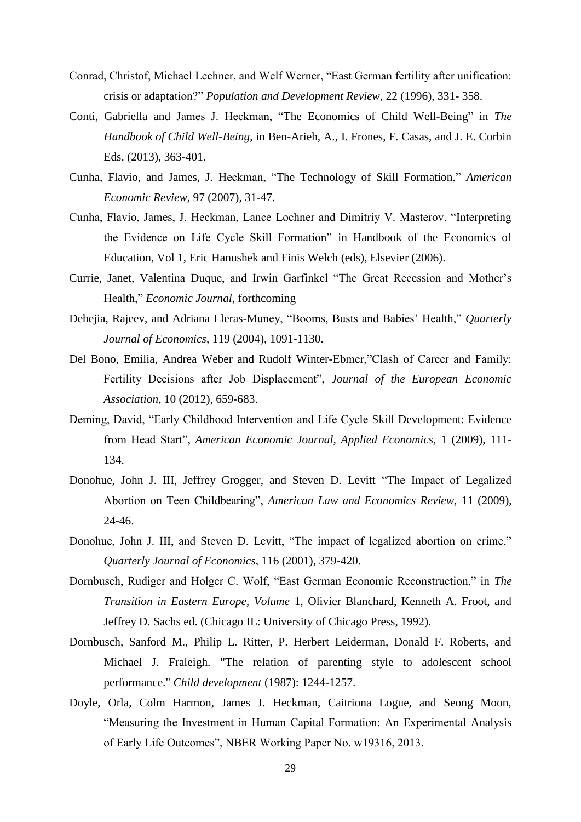- Conrad, Christof, Michael Lechner, and Welf Werner, "East German fertility after unification: crisis or adaptation?" *Population and Development Review,* 22 (1996), 331- 358.
- Conti, Gabriella and James J. Heckman, "The Economics of Child Well-Being" in *The Handbook of Child Well-Being*, in Ben-Arieh, A., I. Frones, F. Casas, and J. E. Corbin Eds. (2013), 363-401.
- Cunha, Flavio, and James, J. Heckman, ["The Technology of Skill Formation,](http://jenni.uchicago.edu/papers/Cunha-Heckman_AER_v97n2_2007.pdf)" *American Economic Review,* 97 (2007), 31-47.
- Cunha, Flavio, James, J. Heckman, Lance Lochner and Dimitriy V. Masterov. "Interpreting the Evidence on Life Cycle Skill Formation" in Handbook of the Economics of Education, Vol 1, Eric Hanushek and Finis Welch (eds), Elsevier (2006).
- Currie, Janet, Valentina Duque, and Irwin Garfinkel "The Great Recession and Mother's Health," *Economic Journal*, forthcoming
- Dehejia, Rajeev, and Adriana Lleras-Muney, "Booms, Busts and Babies' Health," *Quarterly Journal of Economics*, 119 (2004), 1091-1130.
- Del Bono, Emilia, Andrea Weber and Rudolf Winter-Ebmer,"Clash of Career and Family: Fertility Decisions after Job Displacement", *Journal of the European Economic Association*, 10 (2012), 659-683.
- Deming, David, "Early Childhood Intervention and Life Cycle Skill Development: Evidence from Head Start", *American Economic Journal, Applied Economics,* 1 (2009), 111- 134.
- Donohue, John J. III, Jeffrey Grogger, and Steven D. Levitt "The Impact of Legalized Abortion on Teen Childbearing", *American Law and Economics Review*, 11 (2009), 24-46.
- Donohue, John J. III, and Steven D. Levitt, "The impact of legalized abortion on crime," *Quarterly Journal of Economics*, 116 (2001), 379-420.
- Dornbusch, Rudiger and Holger C. Wolf, "East German Economic Reconstruction," in *The Transition in Eastern Europe, Volume* 1, Olivier Blanchard, Kenneth A. Froot, and Jeffrey D. Sachs ed. (Chicago IL: University of Chicago Press, 1992).
- Dornbusch, Sanford M., Philip L. Ritter, P. Herbert Leiderman, Donald F. Roberts, and Michael J. Fraleigh. "The relation of parenting style to adolescent school performance." *Child development* (1987): 1244-1257.
- Doyle, Orla, Colm Harmon, James J. Heckman, Caitriona Logue, and Seong Moon, "Measuring the Investment in Human Capital Formation: An Experimental Analysis of Early Life Outcomes", NBER Working Paper No. w19316, 2013.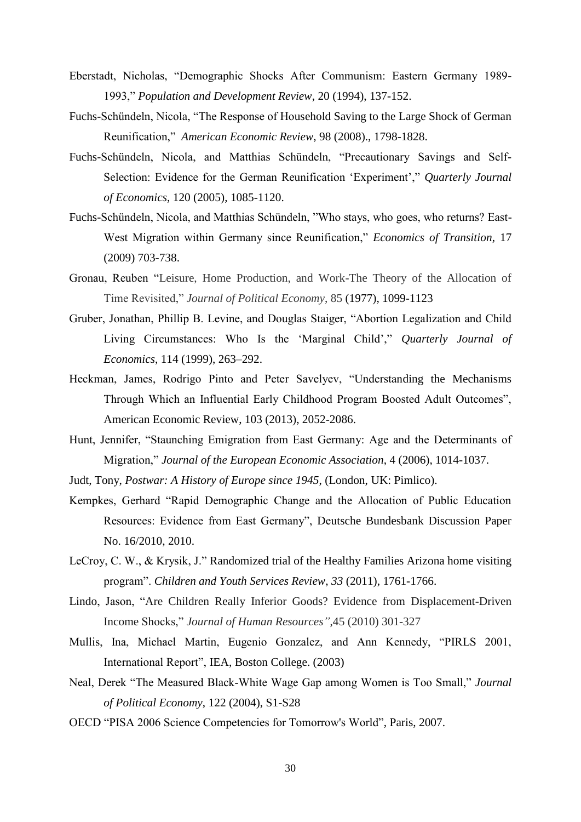- Eberstadt, Nicholas, "Demographic Shocks After Communism: Eastern Germany 1989- 1993," *Population and Development Review*, 20 (1994), 137-152.
- Fuchs-Schündeln, Nicola, "The Response of Household Saving to the Large Shock of German Reunification," *American Economic Review*, 98 (2008)., 1798-1828.
- Fuchs-Schündeln, Nicola, and Matthias Schündeln, "Precautionary Savings and Self-Selection: Evidence for the German Reunification 'Experiment'," *Quarterly Journal of Economics*, 120 (2005), 1085-1120.
- Fuchs-Schündeln, Nicola, and Matthias Schündeln, "Who stays, who goes, who returns? East-West Migration within Germany since Reunification," *Economics of Transition*, 17 (2009) 703-738.
- Gronau, Reuben "Leisure, Home Production, and Work-The Theory of the Allocation of Time Revisited," *Journal of Political Economy*, 85 (1977), 1099-1123
- Gruber, Jonathan, Phillip B. Levine, and Douglas Staiger, "Abortion Legalization and Child Living Circumstances: Who Is the 'Marginal Child'," *Quarterly Journal of Economics*, 114 (1999), 263–292.
- Heckman, James, Rodrigo Pinto and Peter Savelyev, "Understanding the Mechanisms Through Which an Influential Early Childhood Program Boosted Adult Outcomes", American Economic Review, 103 (2013), 2052-2086.
- Hunt, Jennifer, "Staunching Emigration from East Germany: Age and the Determinants of Migration," *Journal of the European Economic Association*, 4 (2006), 1014-1037.
- Judt, Tony, *Postwar: A History of Europe since 1945*, (London, UK: Pimlico).
- Kempkes, Gerhard "Rapid Demographic Change and the Allocation of Public Education Resources: Evidence from East Germany", Deutsche Bundesbank Discussion Paper No. 16/2010, 2010.
- LeCroy, C. W., & Krysik, J." Randomized trial of the Healthy Families Arizona home visiting program". *Children and Youth Services Review*, *33* (2011), 1761-1766.
- Lindo, Jason, "Are Children Really Inferior Goods? Evidence from Displacement-Driven Income Shocks," *Journal of Human Resources"*,45 (2010) 301-327
- Mullis, Ina, Michael Martin, Eugenio Gonzalez, and Ann Kennedy, "PIRLS 2001, International Report", IEA, Boston College. (2003)
- Neal, Derek "The Measured Black-White Wage Gap among Women is Too Small," *Journal of Political Economy*, 122 (2004), S1-S28
- OECD "PISA 2006 Science Competencies for Tomorrow's World", Paris, 2007.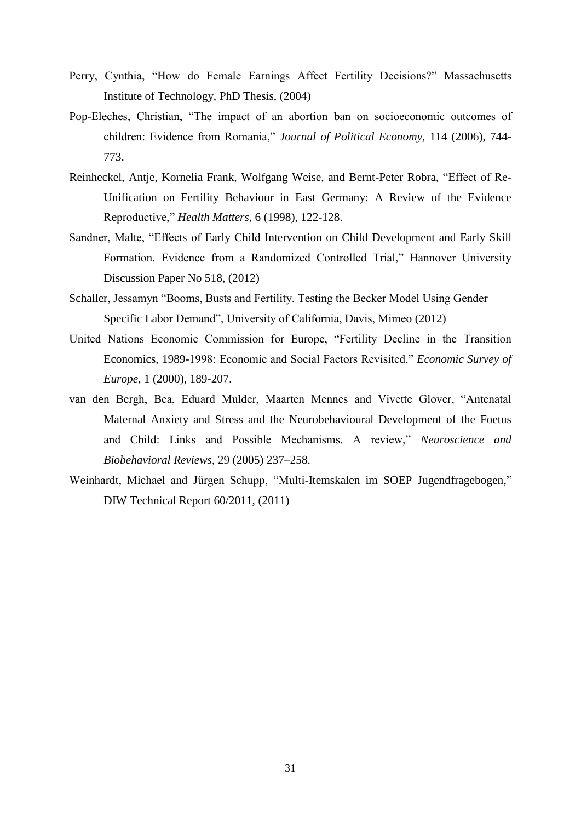- Perry, Cynthia, "How do Female Earnings Affect Fertility Decisions?" Massachusetts Institute of Technology, PhD Thesis, (2004)
- Pop-Eleches, Christian, "The impact of an abortion ban on socioeconomic outcomes of children: Evidence from Romania," *Journal of Political Economy,* 114 (2006), 744- 773.
- Reinheckel, Antje, Kornelia Frank, Wolfgang Weise, and Bernt-Peter Robra, "Effect of Re-Unification on Fertility Behaviour in East Germany: A Review of the Evidence Reproductive," *Health Matters*, 6 (1998), 122-128.
- Sandner, Malte, "Effects of Early Child Intervention on Child Development and Early Skill Formation. Evidence from a Randomized Controlled Trial," Hannover University Discussion Paper No 518, (2012)
- Schaller, Jessamyn "Booms, Busts and Fertility. Testing the Becker Model Using Gender Specific Labor Demand", University of California, Davis, Mimeo (2012)
- United Nations Economic Commission for Europe, "Fertility Decline in the Transition Economics, 1989-1998: Economic and Social Factors Revisited," *Economic Survey of Europe*, 1 (2000), 189-207.
- van den Bergh, Bea, Eduard Mulder, Maarten Mennes and Vivette Glover, "Antenatal Maternal Anxiety and Stress and the Neurobehavioural Development of the Foetus and Child: Links and Possible Mechanisms. A review," *Neuroscience and Biobehavioral Reviews*, 29 (2005) 237–258.
- Weinhardt, Michael and Jürgen Schupp, "Multi-Itemskalen im SOEP Jugendfragebogen*,*" DIW Technical Report 60/2011, (2011)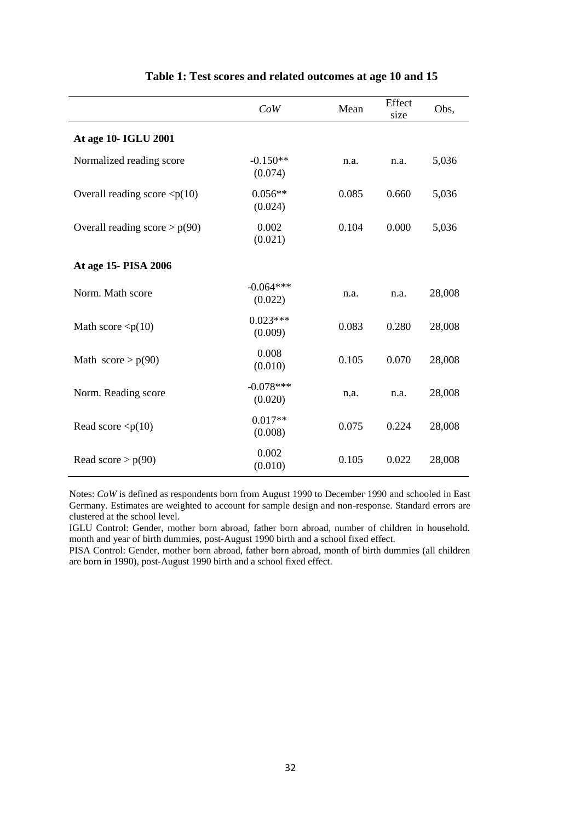|                                       | CoW                    | Mean  | Effect<br>size | Obs,   |
|---------------------------------------|------------------------|-------|----------------|--------|
| At age 10- IGLU 2001                  |                        |       |                |        |
| Normalized reading score              | $-0.150**$<br>(0.074)  | n.a.  | n.a.           | 5,036  |
| Overall reading score $\langle p(10)$ | $0.056**$<br>(0.024)   | 0.085 | 0.660          | 5,036  |
| Overall reading score $> p(90)$       | 0.002<br>(0.021)       | 0.104 | 0.000          | 5,036  |
| At age 15- PISA 2006                  |                        |       |                |        |
| Norm. Math score                      | $-0.064***$<br>(0.022) | n.a.  | n.a.           | 28,008 |
| Math score $\langle p(10)$            | $0.023***$<br>(0.009)  | 0.083 | 0.280          | 28,008 |
| Math $score > p(90)$                  | 0.008<br>(0.010)       | 0.105 | 0.070          | 28,008 |
| Norm. Reading score                   | $-0.078***$<br>(0.020) | n.a.  | n.a.           | 28,008 |
| Read score $\langle p(10)$            | $0.017**$<br>(0.008)   | 0.075 | 0.224          | 28,008 |
| Read score $> p(90)$                  | 0.002<br>(0.010)       | 0.105 | 0.022          | 28,008 |

#### **Table 1: Test scores and related outcomes at age 10 and 15**

Notes: *CoW* is defined as respondents born from August 1990 to December 1990 and schooled in East Germany. Estimates are weighted to account for sample design and non-response. Standard errors are clustered at the school level.

IGLU Control: Gender, mother born abroad, father born abroad, number of children in household. month and year of birth dummies, post-August 1990 birth and a school fixed effect.

PISA Control: Gender, mother born abroad, father born abroad, month of birth dummies (all children are born in 1990), post-August 1990 birth and a school fixed effect.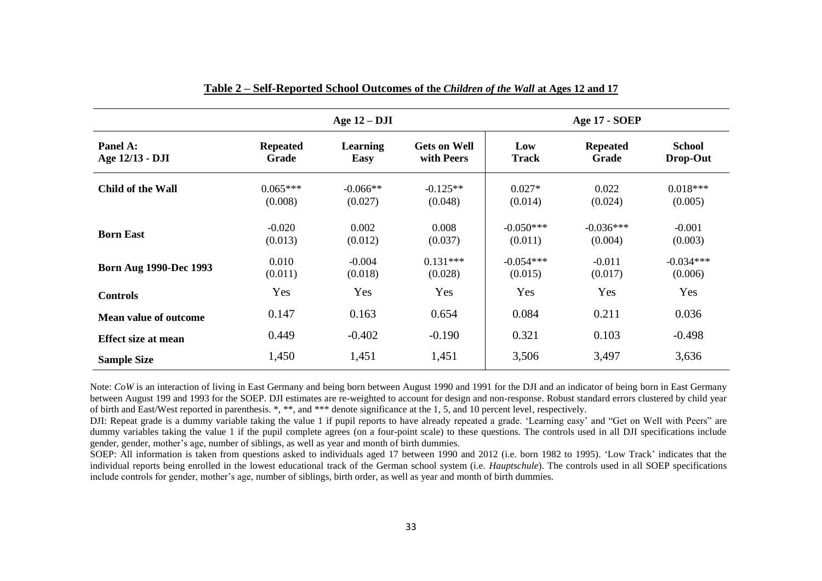|                               |                          | Age $12 - DJI$                 |                                   |                        | Age 17 - SOEP            |                           |
|-------------------------------|--------------------------|--------------------------------|-----------------------------------|------------------------|--------------------------|---------------------------|
| Panel A:<br>Age 12/13 - DJI   | <b>Repeated</b><br>Grade | <b>Learning</b><br><b>Easy</b> | <b>Gets on Well</b><br>with Peers | Low<br><b>Track</b>    | <b>Repeated</b><br>Grade | <b>School</b><br>Drop-Out |
| Child of the Wall             | $0.065***$<br>(0.008)    | $-0.066**$<br>(0.027)          | $-0.125**$<br>(0.048)             | $0.027*$<br>(0.014)    | 0.022<br>(0.024)         | $0.018***$<br>(0.005)     |
| <b>Born East</b>              | $-0.020$<br>(0.013)      | 0.002<br>(0.012)               | 0.008<br>(0.037)                  | $-0.050***$<br>(0.011) | $-0.036***$<br>(0.004)   | $-0.001$<br>(0.003)       |
| <b>Born Aug 1990-Dec 1993</b> | 0.010<br>(0.011)         | $-0.004$<br>(0.018)            | $0.131***$<br>(0.028)             | $-0.054***$<br>(0.015) | $-0.011$<br>(0.017)      | $-0.034***$<br>(0.006)    |
| <b>Controls</b>               | Yes                      | Yes                            | Yes                               | Yes                    | Yes                      | Yes                       |
| <b>Mean value of outcome</b>  | 0.147                    | 0.163                          | 0.654                             | 0.084                  | 0.211                    | 0.036                     |
| <b>Effect size at mean</b>    | 0.449                    | $-0.402$                       | $-0.190$                          | 0.321                  | 0.103                    | $-0.498$                  |
| <b>Sample Size</b>            | 1,450                    | 1,451                          | 1,451                             | 3,506                  | 3,497                    | 3,636                     |

|  | Table 2 – Self-Reported School Outcomes of the Children of the Wall at Ages 12 and 17 |  |  |  |  |  |
|--|---------------------------------------------------------------------------------------|--|--|--|--|--|
|--|---------------------------------------------------------------------------------------|--|--|--|--|--|

Note: *CoW* is an interaction of living in East Germany and being born between August 1990 and 1991 for the DJI and an indicator of being born in East Germany between August 199 and 1993 for the SOEP. DJI estimates are re-weighted to account for design and non-response. Robust standard errors clustered by child year of birth and East/West reported in parenthesis. \*, \*\*, and \*\*\* denote significance at the 1, 5, and 10 percent level, respectively.

DJI: Repeat grade is a dummy variable taking the value 1 if pupil reports to have already repeated a grade. 'Learning easy' and "Get on Well with Peers" are dummy variables taking the value 1 if the pupil complete agrees (on a four-point scale) to these questions. The controls used in all DJI specifications include gender, gender, mother's age, number of siblings, as well as year and month of birth dummies.

SOEP: All information is taken from questions asked to individuals aged 17 between 1990 and 2012 (i.e. born 1982 to 1995). 'Low Track' indicates that the individual reports being enrolled in the lowest educational track of the German school system (i.e. *Hauptschule*). The controls used in all SOEP specifications include controls for gender, mother's age, number of siblings, birth order, as well as year and month of birth dummies.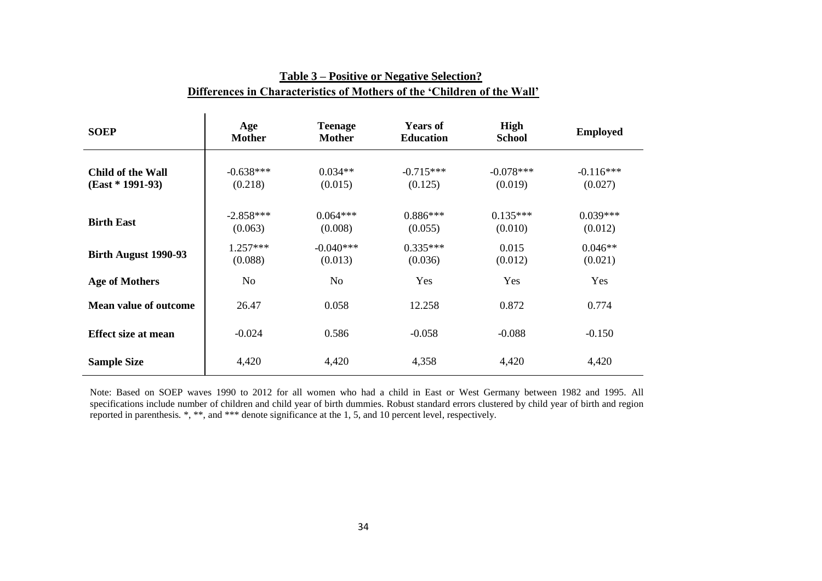| <b>SOEP</b>                             | Age<br><b>Mother</b>   | <b>Teenage</b><br><b>Mother</b> | <b>Years of</b><br><b>Education</b> | High<br><b>School</b>  | <b>Employed</b>        |
|-----------------------------------------|------------------------|---------------------------------|-------------------------------------|------------------------|------------------------|
| Child of the Wall<br>$(East * 1991-93)$ | $-0.638***$<br>(0.218) | $0.034**$<br>(0.015)            | $-0.715***$<br>(0.125)              | $-0.078***$<br>(0.019) | $-0.116***$<br>(0.027) |
| <b>Birth East</b>                       | $-2.858***$<br>(0.063) | $0.064***$<br>(0.008)           | $0.886***$<br>(0.055)               | $0.135***$<br>(0.010)  | $0.039***$<br>(0.012)  |
| Birth August 1990-93                    | $1.257***$<br>(0.088)  | $-0.040***$<br>(0.013)          | $0.335***$<br>(0.036)               | 0.015<br>(0.012)       | $0.046**$<br>(0.021)   |
| <b>Age of Mothers</b>                   | N <sub>o</sub>         | N <sub>o</sub>                  | Yes                                 | Yes                    | Yes                    |
| <b>Mean value of outcome</b>            | 26.47                  | 0.058                           | 12.258                              | 0.872                  | 0.774                  |
| <b>Effect size at mean</b>              | $-0.024$               | 0.586                           | $-0.058$                            | $-0.088$               | $-0.150$               |
| <b>Sample Size</b>                      | 4,420                  | 4,420                           | 4,358                               | 4,420                  | 4,420                  |

## **Table 3 – Positive or Negative Selection? Differences in Characteristics of Mothers of the 'Children of the Wall'**

Note: Based on SOEP waves 1990 to 2012 for all women who had a child in East or West Germany between 1982 and 1995. All specifications include number of children and child year of birth dummies. Robust standard errors clustered by child year of birth and region reported in parenthesis. \*, \*\*, and \*\*\* denote significance at the 1, 5, and 10 percent level, respectively.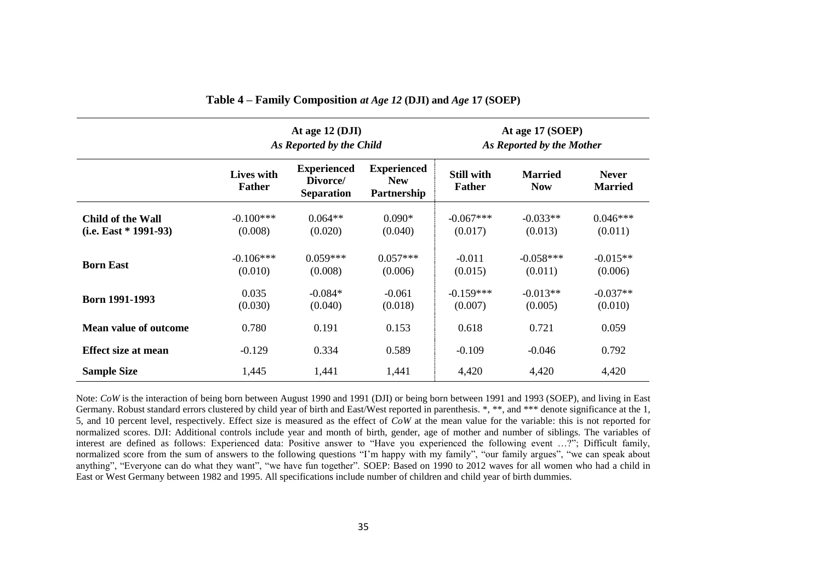|                                                     |                             | At age 12 (DJI)<br>As Reported by the Child         |                                                 |                                    | At age 17 (SOEP)<br>As Reported by the Mother |                                |
|-----------------------------------------------------|-----------------------------|-----------------------------------------------------|-------------------------------------------------|------------------------------------|-----------------------------------------------|--------------------------------|
|                                                     | Lives with<br><b>Father</b> | <b>Experienced</b><br>Divorce/<br><b>Separation</b> | <b>Experienced</b><br><b>New</b><br>Partnership | <b>Still with</b><br><b>Father</b> | <b>Married</b><br><b>Now</b>                  | <b>Never</b><br><b>Married</b> |
| <b>Child of the Wall</b><br>$(i.e. East * 1991-93)$ | $-0.100***$<br>(0.008)      | $0.064**$<br>(0.020)                                | $0.090*$<br>(0.040)                             | $-0.067***$<br>(0.017)             | $-0.033**$<br>(0.013)                         | $0.046***$<br>(0.011)          |
| <b>Born East</b>                                    | $-0.106***$<br>(0.010)      | $0.059***$<br>(0.008)                               | $0.057***$<br>(0.006)                           | $-0.011$<br>(0.015)                | $-0.058***$<br>(0.011)                        | $-0.015**$<br>(0.006)          |
| <b>Born 1991-1993</b>                               | 0.035<br>(0.030)            | $-0.084*$<br>(0.040)                                | $-0.061$<br>(0.018)                             | $-0.159***$<br>(0.007)             | $-0.013**$<br>(0.005)                         | $-0.037**$<br>(0.010)          |
| <b>Mean value of outcome</b>                        | 0.780                       | 0.191                                               | 0.153                                           | 0.618                              | 0.721                                         | 0.059                          |
| <b>Effect size at mean</b>                          | $-0.129$                    | 0.334                                               | 0.589                                           | $-0.109$                           | $-0.046$                                      | 0.792                          |
| <b>Sample Size</b>                                  | 1,445                       | 1,441                                               | 1,441                                           | 4,420                              | 4,420                                         | 4,420                          |

**Table 4 – Family Composition** *at Age 12* **(DJI) and** *Age* **17 (SOEP)**

Note: *CoW* is the interaction of being born between August 1990 and 1991 (DJI) or being born between 1991 and 1993 (SOEP), and living in East Germany. Robust standard errors clustered by child year of birth and East/West reported in parenthesis. \*, \*\*, and \*\*\* denote significance at the 1, 5, and 10 percent level, respectively. Effect size is measured as the effect of *CoW* at the mean value for the variable: this is not reported for normalized scores. DJI: Additional controls include year and month of birth, gender, age of mother and number of siblings. The variables of interest are defined as follows: Experienced data: Positive answer to "Have you experienced the following event …?"; Difficult family, normalized score from the sum of answers to the following questions "I'm happy with my family", "our family argues", "we can speak about anything", "Everyone can do what they want", "we have fun together". SOEP: Based on 1990 to 2012 waves for all women who had a child in East or West Germany between 1982 and 1995. All specifications include number of children and child year of birth dummies.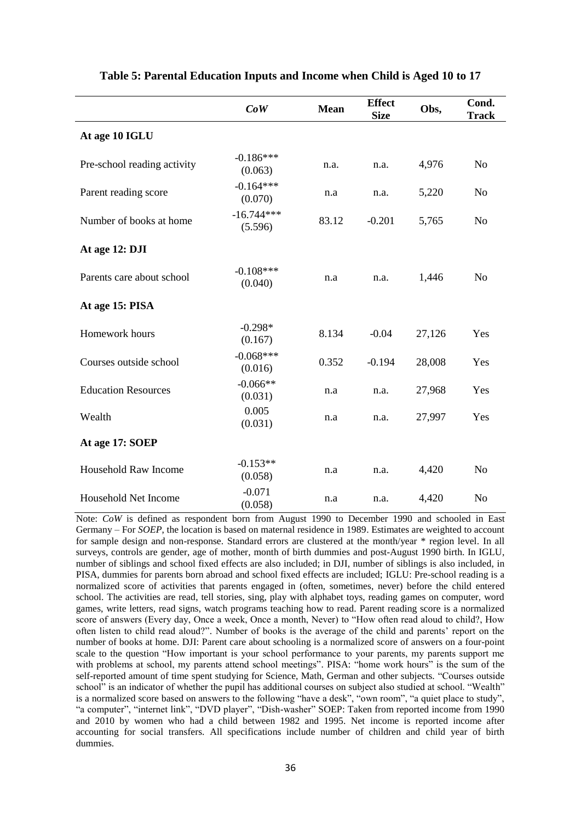|                             | $\mathbb{C}\mathfrak{o}\mathbb{W}$ | <b>Mean</b> | <b>Effect</b><br><b>Size</b> | Obs,   | Cond.<br><b>Track</b> |
|-----------------------------|------------------------------------|-------------|------------------------------|--------|-----------------------|
| At age 10 IGLU              |                                    |             |                              |        |                       |
| Pre-school reading activity | $-0.186***$<br>(0.063)             | n.a.        | n.a.                         | 4,976  | N <sub>o</sub>        |
| Parent reading score        | $-0.164***$<br>(0.070)             | n.a         | n.a.                         | 5,220  | No                    |
| Number of books at home     | $-16.744***$<br>(5.596)            | 83.12       | $-0.201$                     | 5,765  | N <sub>0</sub>        |
| At age 12: DJI              |                                    |             |                              |        |                       |
| Parents care about school   | $-0.108***$<br>(0.040)             | n.a         | n.a.                         | 1,446  | N <sub>0</sub>        |
| At age 15: PISA             |                                    |             |                              |        |                       |
| Homework hours              | $-0.298*$<br>(0.167)               | 8.134       | $-0.04$                      | 27,126 | Yes                   |
| Courses outside school      | $-0.068***$<br>(0.016)             | 0.352       | $-0.194$                     | 28,008 | Yes                   |
| <b>Education Resources</b>  | $-0.066**$<br>(0.031)              | n.a         | n.a.                         | 27,968 | Yes                   |
| Wealth                      | 0.005<br>(0.031)                   | n.a         | n.a.                         | 27,997 | Yes                   |
| At age 17: SOEP             |                                    |             |                              |        |                       |
| Household Raw Income        | $-0.153**$<br>(0.058)              | n.a         | n.a.                         | 4,420  | N <sub>o</sub>        |
| Household Net Income        | $-0.071$<br>(0.058)                | n.a         | n.a.                         | 4,420  | N <sub>o</sub>        |

#### **Table 5: Parental Education Inputs and Income when Child is Aged 10 to 17**

Note: *CoW* is defined as respondent born from August 1990 to December 1990 and schooled in East Germany – For *SOEP*, the location is based on maternal residence in 1989. Estimates are weighted to account for sample design and non-response. Standard errors are clustered at the month/year \* region level. In all surveys, controls are gender, age of mother, month of birth dummies and post-August 1990 birth. In IGLU, number of siblings and school fixed effects are also included; in DJI, number of siblings is also included, in PISA, dummies for parents born abroad and school fixed effects are included; IGLU: Pre-school reading is a normalized score of activities that parents engaged in (often, sometimes, never) before the child entered school. The activities are read, tell stories, sing, play with alphabet toys, reading games on computer, word games, write letters, read signs, watch programs teaching how to read. Parent reading score is a normalized score of answers (Every day, Once a week, Once a month, Never) to "How often read aloud to child?, How often listen to child read aloud?". Number of books is the average of the child and parents' report on the number of books at home. DJI: Parent care about schooling is a normalized score of answers on a four-point scale to the question "How important is your school performance to your parents, my parents support me with problems at school, my parents attend school meetings". PISA: "home work hours" is the sum of the self-reported amount of time spent studying for Science, Math, German and other subjects. "Courses outside school" is an indicator of whether the pupil has additional courses on subject also studied at school. "Wealth" is a normalized score based on answers to the following "have a desk", "own room", "a quiet place to study", "a computer", "internet link", "DVD player", "Dish-washer" SOEP: Taken from reported income from 1990 and 2010 by women who had a child between 1982 and 1995. Net income is reported income after accounting for social transfers. All specifications include number of children and child year of birth dummies.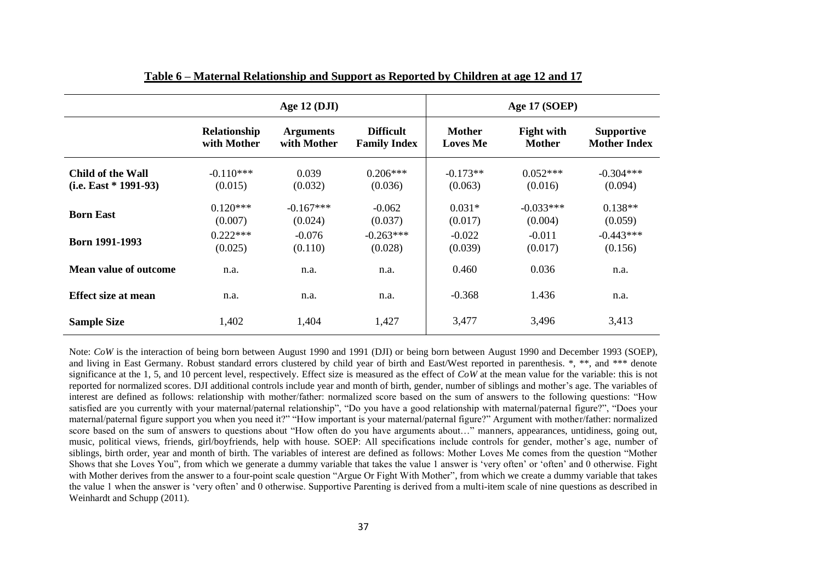|                         |              | Age $12 \, (DJI)$ |                     |                 | Age 17 (SOEP)     |                     |
|-------------------------|--------------|-------------------|---------------------|-----------------|-------------------|---------------------|
|                         | Relationship | <b>Arguments</b>  | <b>Difficult</b>    | Mother          | <b>Fight with</b> | <b>Supportive</b>   |
|                         | with Mother  | with Mother       | <b>Family Index</b> | <b>Loves Me</b> | <b>Mother</b>     | <b>Mother Index</b> |
| Child of the Wall       | $-0.110***$  | 0.039             | $0.206***$          | $-0.173**$      | $0.052***$        | $-0.304***$         |
| $(i.e. East * 1991-93)$ | (0.015)      | (0.032)           | (0.036)             | (0.063)         | (0.016)           | (0.094)             |
| <b>Born East</b>        | $0.120***$   | $-0.167***$       | $-0.062$            | $0.031*$        | $-0.033***$       | $0.138**$           |
|                         | (0.007)      | (0.024)           | (0.037)             | (0.017)         | (0.004)           | (0.059)             |
| Born 1991-1993          | $0.222***$   | $-0.076$          | $-0.263***$         | $-0.022$        | $-0.011$          | $-0.443***$         |
|                         | (0.025)      | (0.110)           | (0.028)             | (0.039)         | (0.017)           | (0.156)             |
| Mean value of outcome   | n.a.         | n.a.              | n.a.                | 0.460           | 0.036             | n.a.                |
| Effect size at mean     | n.a.         | n.a.              | n.a.                | $-0.368$        | 1.436             | n.a.                |
| <b>Sample Size</b>      | 1,402        | 1,404             | 1,427               | 3,477           | 3,496             | 3,413               |

**Table 6 – Maternal Relationship and Support as Reported by Children at age 12 and 17**

Note: *CoW* is the interaction of being born between August 1990 and 1991 (DJI) or being born between August 1990 and December 1993 (SOEP), and living in East Germany. Robust standard errors clustered by child year of birth and East/West reported in parenthesis. \*, \*\*, and \*\*\* denote significance at the 1, 5, and 10 percent level, respectively. Effect size is measured as the effect of *CoW* at the mean value for the variable: this is not reported for normalized scores. DJI additional controls include year and month of birth, gender, number of siblings and mother's age. The variables of interest are defined as follows: relationship with mother/father: normalized score based on the sum of answers to the following questions: "How satisfied are you currently with your maternal/paternal relationship", "Do you have a good relationship with maternal/paternal figure?", "Does your maternal/paternal figure support you when you need it?" "How important is your maternal/paternal figure?" Argument with mother/father: normalized score based on the sum of answers to questions about "How often do you have arguments about…" manners, appearances, untidiness, going out, music, political views, friends, girl/boyfriends, help with house. SOEP: All specifications include controls for gender, mother's age, number of siblings, birth order, year and month of birth. The variables of interest are defined as follows: Mother Loves Me comes from the question "Mother Shows that she Loves You", from which we generate a dummy variable that takes the value 1 answer is 'very often' or 'often' and 0 otherwise. Fight with Mother derives from the answer to a four-point scale question "Argue Or Fight With Mother", from which we create a dummy variable that takes the value 1 when the answer is 'very often' and 0 otherwise. Supportive Parenting is derived from a multi-item scale of nine questions as described in Weinhardt and Schupp (2011).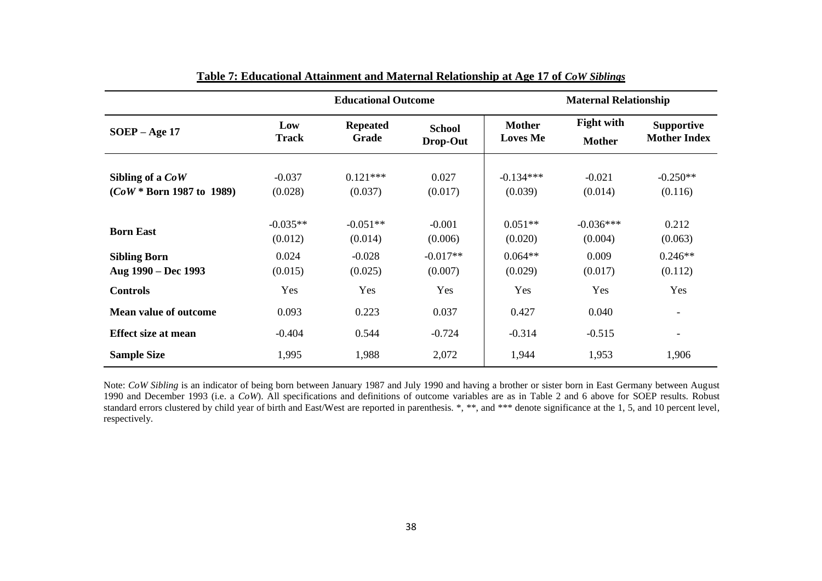|                                                 |                       | <b>Educational Outcome</b> |                           |                                  | <b>Maternal Relationship</b>       |                                          |
|-------------------------------------------------|-----------------------|----------------------------|---------------------------|----------------------------------|------------------------------------|------------------------------------------|
| $SOEP - Age 17$                                 | Low<br>Track          | <b>Repeated</b><br>Grade   | <b>School</b><br>Drop-Out | <b>Mother</b><br><b>Loves Me</b> | <b>Fight with</b><br><b>Mother</b> | <b>Supportive</b><br><b>Mother Index</b> |
| Sibling of a CoW<br>$(CoW * Born 1987$ to 1989) | $-0.037$<br>(0.028)   | $0.121***$<br>(0.037)      | 0.027<br>(0.017)          | $-0.134***$<br>(0.039)           | $-0.021$<br>(0.014)                | $-0.250**$<br>(0.116)                    |
| <b>Born East</b>                                | $-0.035**$<br>(0.012) | $-0.051**$<br>(0.014)      | $-0.001$<br>(0.006)       | $0.051**$<br>(0.020)             | $-0.036***$<br>(0.004)             | 0.212<br>(0.063)                         |
| <b>Sibling Born</b><br>Aug 1990 – Dec 1993      | 0.024<br>(0.015)      | $-0.028$<br>(0.025)        | $-0.017**$<br>(0.007)     | $0.064**$<br>(0.029)             | 0.009<br>(0.017)                   | $0.246**$<br>(0.112)                     |
| <b>Controls</b>                                 | Yes                   | Yes                        | Yes                       | Yes                              | Yes                                | Yes                                      |
| <b>Mean value of outcome</b>                    | 0.093                 | 0.223                      | 0.037                     | 0.427                            | 0.040                              | $\overline{\phantom{a}}$                 |
| <b>Effect size at mean</b>                      | $-0.404$              | 0.544                      | $-0.724$                  | $-0.314$                         | $-0.515$                           | $\overline{\phantom{a}}$                 |
| <b>Sample Size</b>                              | 1,995                 | 1,988                      | 2,072                     | 1,944                            | 1,953                              | 1,906                                    |

Note: CoW Sibling is an indicator of being born between January 1987 and July 1990 and having a brother or sister born in East Germany between August 1990 and December 1993 (i.e. a *CoW*). All specifications and definitions of outcome variables are as in Table 2 and 6 above for SOEP results. Robust standard errors clustered by child year of birth and East/West are reported in parenthesis. \*, \*\*, and \*\*\* denote significance at the 1, 5, and 10 percent level, respectively.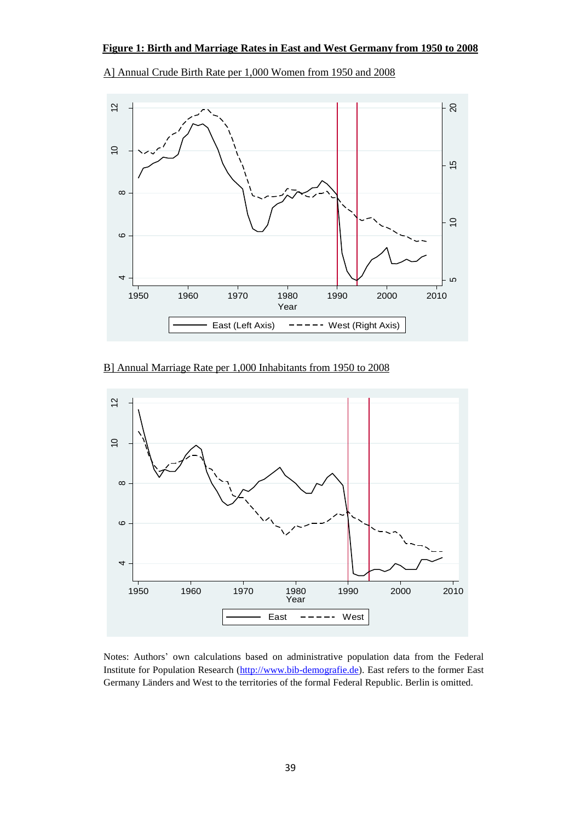

A] Annual Crude Birth Rate per 1,000 Women from 1950 and 2008

B] Annual Marriage Rate per 1,000 Inhabitants from 1950 to 2008



Notes: Authors' own calculations based on administrative population data from the Federal Institute for Population Research [\(http://www.bib-demografie.de\)](http://www.bib-demografie.de/). East refers to the former East Germany Länders and West to the territories of the formal Federal Republic. Berlin is omitted.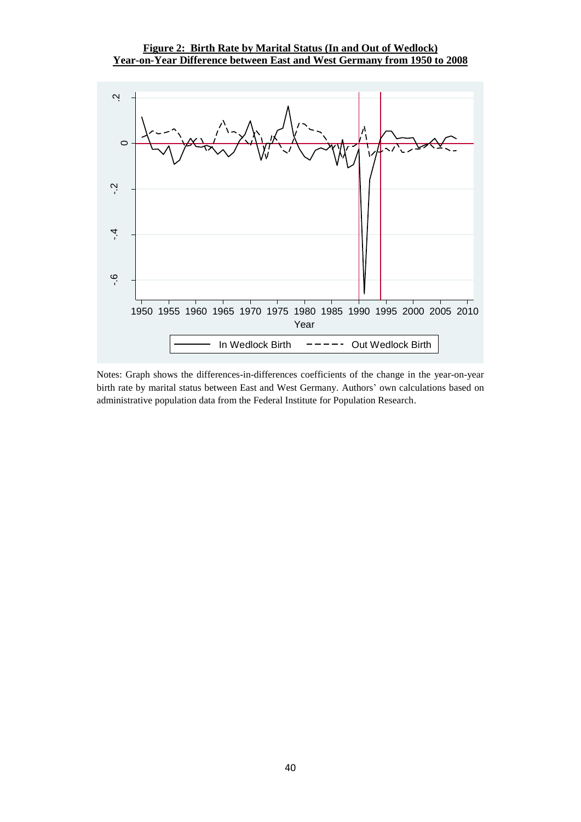#### **Figure 2: Birth Rate by Marital Status (In and Out of Wedlock) Year-on-Year Difference between East and West Germany from 1950 to 2008**



Notes: Graph shows the differences-in-differences coefficients of the change in the year-on-year birth rate by marital status between East and West Germany. Authors' own calculations based on administrative population data from the Federal Institute for Population Research.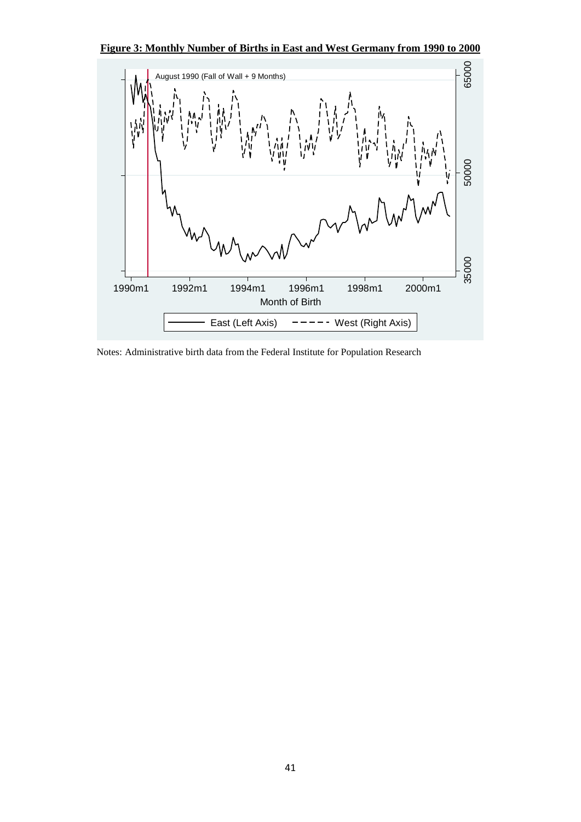



Notes: Administrative birth data from the Federal Institute for Population Research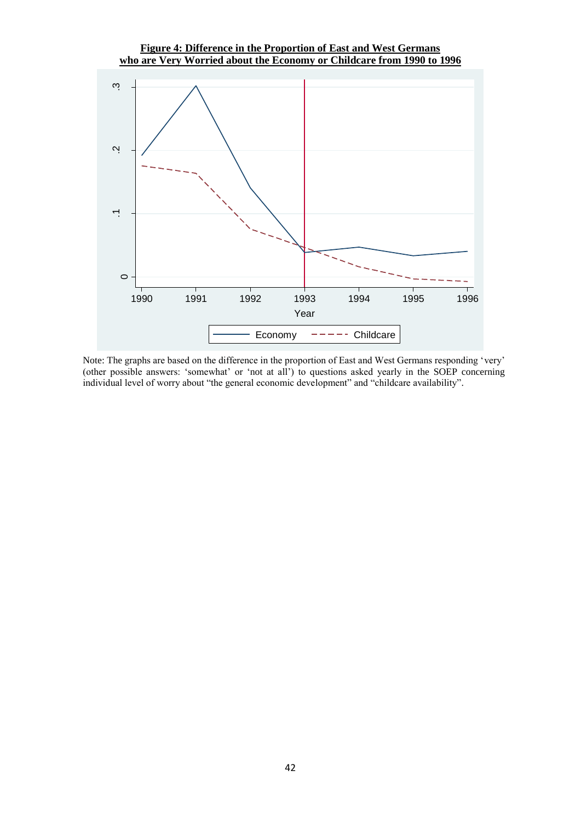#### **Figure 4: Difference in the Proportion of East and West Germans who are Very Worried about the Economy or Childcare from 1990 to 1996**



Note: The graphs are based on the difference in the proportion of East and West Germans responding 'very' (other possible answers: 'somewhat' or 'not at all') to questions asked yearly in the SOEP concerning individual level of worry about "the general economic development" and "childcare availability".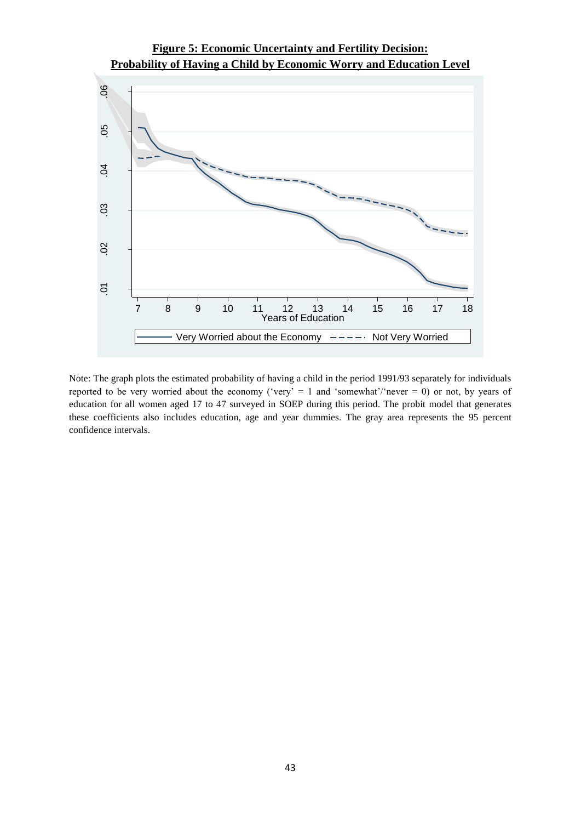

Note: The graph plots the estimated probability of having a child in the period 1991/93 separately for individuals reported to be very worried about the economy ('very' = 1 and 'somewhat'/'never = 0) or not, by years of education for all women aged 17 to 47 surveyed in SOEP during this period. The probit model that generates these coefficients also includes education, age and year dummies. The gray area represents the 95 percent confidence intervals.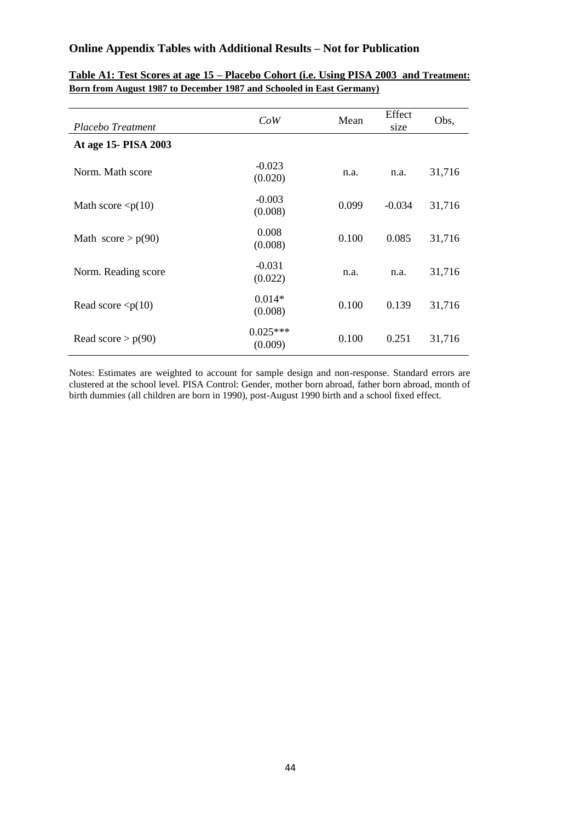#### **Online Appendix Tables with Additional Results – Not for Publication**

| Placebo Treatment          | CoW                   | Mean  | Effect<br>size | Obs,   |
|----------------------------|-----------------------|-------|----------------|--------|
| At age 15- PISA 2003       |                       |       |                |        |
| Norm. Math score           | $-0.023$<br>(0.020)   | n.a.  | n.a.           | 31,716 |
| Math score $\langle p(10)$ | $-0.003$<br>(0.008)   | 0.099 | $-0.034$       | 31,716 |
| Math score $> p(90)$       | 0.008<br>(0.008)      | 0.100 | 0.085          | 31,716 |
| Norm. Reading score        | $-0.031$<br>(0.022)   | n.a.  | n.a.           | 31,716 |
| Read score $\langle p(10)$ | $0.014*$<br>(0.008)   | 0.100 | 0.139          | 31,716 |
| Read score $> p(90)$       | $0.025***$<br>(0.009) | 0.100 | 0.251          | 31,716 |

**Table A1: Test Scores at age 15 – Placebo Cohort (i.e. Using PISA 2003 and Treatment: Born from August 1987 to December 1987 and Schooled in East Germany)**

Notes: Estimates are weighted to account for sample design and non-response. Standard errors are clustered at the school level. PISA Control: Gender, mother born abroad, father born abroad, month of birth dummies (all children are born in 1990), post-August 1990 birth and a school fixed effect.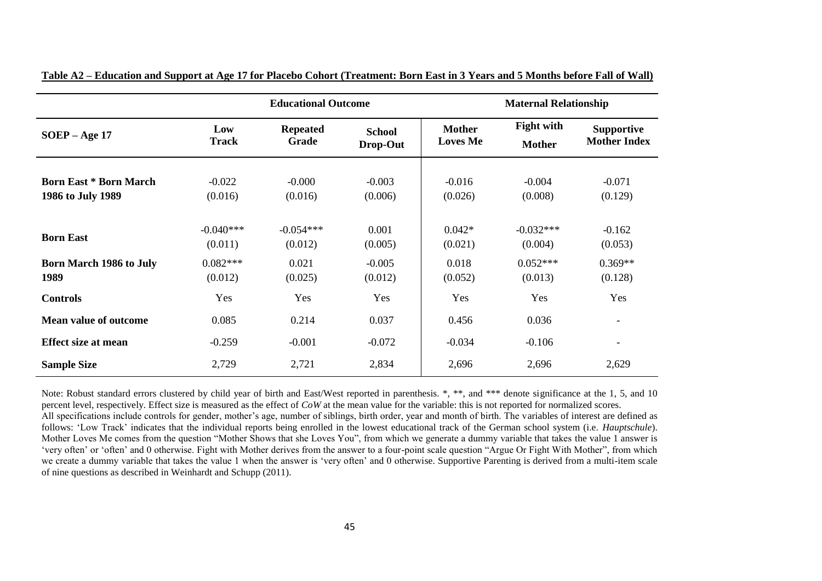|                                                    |                        | <b>Educational Outcome</b>      |                           |                                  | <b>Maternal Relationship</b>       |                                          |
|----------------------------------------------------|------------------------|---------------------------------|---------------------------|----------------------------------|------------------------------------|------------------------------------------|
| $SOEP - Age 17$                                    | Low<br><b>Track</b>    | <b>Repeated</b><br><b>Grade</b> | <b>School</b><br>Drop-Out | <b>Mother</b><br><b>Loves Me</b> | <b>Fight with</b><br><b>Mother</b> | <b>Supportive</b><br><b>Mother Index</b> |
| <b>Born East * Born March</b><br>1986 to July 1989 | $-0.022$<br>(0.016)    | $-0.000$<br>(0.016)             | $-0.003$<br>(0.006)       | $-0.016$<br>(0.026)              | $-0.004$<br>(0.008)                | $-0.071$<br>(0.129)                      |
| <b>Born East</b>                                   | $-0.040***$<br>(0.011) | $-0.054***$<br>(0.012)          | 0.001<br>(0.005)          | $0.042*$<br>(0.021)              | $-0.032***$<br>(0.004)             | $-0.162$<br>(0.053)                      |
| <b>Born March 1986 to July</b><br>1989             | $0.082***$<br>(0.012)  | 0.021<br>(0.025)                | $-0.005$<br>(0.012)       | 0.018<br>(0.052)                 | $0.052***$<br>(0.013)              | $0.369**$<br>(0.128)                     |
| <b>Controls</b>                                    | Yes                    | Yes                             | Yes                       | Yes                              | Yes                                | Yes                                      |
| <b>Mean value of outcome</b>                       | 0.085                  | 0.214                           | 0.037                     | 0.456                            | 0.036                              | $\overline{\phantom{a}}$                 |
| <b>Effect size at mean</b>                         | $-0.259$               | $-0.001$                        | $-0.072$                  | $-0.034$                         | $-0.106$                           | $\overline{\phantom{a}}$                 |
| <b>Sample Size</b>                                 | 2,729                  | 2,721                           | 2,834                     | 2,696                            | 2,696                              | 2,629                                    |

| Table A2 – Education and Support at Age 17 for Placebo Cohort (Treatment: Born East in 3 Years and 5 Months before Fall of Wall) |
|----------------------------------------------------------------------------------------------------------------------------------|
|----------------------------------------------------------------------------------------------------------------------------------|

Note: Robust standard errors clustered by child year of birth and East/West reported in parenthesis. \*, \*\*, and \*\*\* denote significance at the 1, 5, and 10 percent level, respectively. Effect size is measured as the effect of *CoW* at the mean value for the variable: this is not reported for normalized scores. All specifications include controls for gender, mother's age, number of siblings, birth order, year and month of birth. The variables of interest are defined as follows: 'Low Track' indicates that the individual reports being enrolled in the lowest educational track of the German school system (i.e. *Hauptschule*). Mother Loves Me comes from the question "Mother Shows that she Loves You", from which we generate a dummy variable that takes the value 1 answer is 'very often' or 'often' and 0 otherwise. Fight with Mother derives from the answer to a four-point scale question "Argue Or Fight With Mother", from which we create a dummy variable that takes the value 1 when the answer is 'very often' and 0 otherwise. Supportive Parenting is derived from a multi-item scale of nine questions as described in Weinhardt and Schupp (2011).